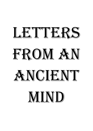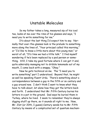## Unstable Molecules

 So my father takes a long, measured sip of his iced tea, looks at me over the rims of his glasses and says, "I need you to write something for me."

 It's about the last thing I'd expect him to say. Normally that over-the-glasses look is the prelude to something more along the lines of, "Your principal called this morning," or "I'd like to know a little more about this young man," or worst of all, "It's time we had a little talk." I find myself wondering if he's been replaced by a pod person or something. Still, I take my good fortune where I can get it and, quite admirably managing not to dribble lemonade out of my mouth, I come back with a snappy, "Okay."

 Now he gets technical on me. The "I need you to write something" part I understood. Beyond that, he might as well be speaking fluent Urdu. There's something about a correspondence between a guy in the fifth or so century and a guy around now. I don't think I want to know what they have to talk about, let alone how they got the letters back and forth. I understand that Mr. Fifth Century buries his letters in a pot in the ground. Dad says he buried them in Turkey, where he lived. I seem to remember they're always digging stuff up there, so it sounds all right to me. Now, Mr. 21st (or 20th, I guess) Century sends his to Mr. Fifth Century by means of a complicated set of quantum mechani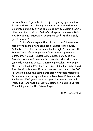cal equations. I get a brain itch just figuring up from down in these things. And it's my job, since these equations can't be printed properly by the publishing guy, to explain them to all of you, the readers. And he's telling me this over a Balboa Burger and lemonade in an airport café. Is this family great or what?

 So here's my explanation. After a careful examination of the facts I have concluded—unstable molecules. Gotta be. Just like in the comic books, right? How does the Human Torch's® costume keep from burning up when he bursts into flames? Unstable molecules. How does the Invisible Woman's® costume turn invisible when she does (and only when she does)? Unstable molecules. How come the Incredible Hulk's® shirt rips and falls off when he turns into the Hulk, but the 98-pound secret identity and the 500 -pound Hulk have the same pants size? Unstable molecules. So you want me to explain how Joe Blow from Kokomo sends his letters 1500 years back in time? Two words: unstable molecules. And that's all you're getting for a Balboa Burger. I'm holding out for the Frisco Burger.

R. M. Hendershot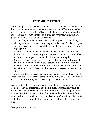## **Translator's Preface**

In translating a correspondence in which one has only half the letters—in this instance, the ones from the older time—certain difficulties must be borne. Evidently the choice of Latin as the language of communication between these two was a matter of mutual convenience, not native language. I say this for a number of reasons:

- It is unlikely that the modern correspondent speaks Latin with any fluency—or for that matter, any language other than English. As you will see, Isaac sometimes has difficulty with some of the words provided to him.
- From the context, and from some of the vocabulary used, it is most likely that Isaac's native language is Greek. Latin, to him, would be a commercial language. He handles it somewhat roughly.
- Some of the letters suggest that Isaac lived in the Roman Empire. If so, it is likely that he lived in the Eastern Roman Empire, with its capital at Constantinople, as opposed to Rome. He is evidently familiar with the Imperial Court, but his Latin is poor—hence the conclusion.

It should be noted that Isaac also bears the characteristic writing style of a man who has lost all fear of being impolite in his text. This is common to the period of Empire, hence the dating of the documents.

Isaac's Latin did need some correction, and there are a number of points (some noted in the marginalia) in which a precise translation would be offensive to the modern Christian. Put bluntly, Isaac can be quite crude at times. But it is a naïve crudity; that of a man familiar with the farm animal side of life. As he did not intend (generally) to offend, I have taken the liberty of making the translation somewhat more fit for modern eyes.

George Spelvin, translator.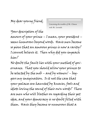*Concerning the troubles of Mr. Clinton with Ms. Lewinski.* 

Your description of the amours of your prince – I mean, your president – seems humorous beyond words. Have men become so pious that an amorous prince is now a rarity? I cannot believe it. Then why did you impeach him?

No doubt the fault lies with your method of governance. That you should allow your princes to be selected by the mob – and by women! – beggars my imagination. Is it not the case that your palaces are haunted by knaves, fools and idiots loving the sound of their own words? There are men who will blather on regarding their pet idea, and your democracy is no doubt filled with them. Have they become so numerous that a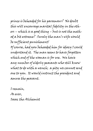prince is beheaded for his paramour? No doubt this will encourage marital fidelity in the others – which is a good thing – but is not the method a bit extreme? Surely the man's wife would be sufficient punishment! Of course, had you beheaded him for idiocy I could understand it. The man seems to have forgotten which end of the woman is for use. We have any number of elderly peasants who still know what to do with a wench; a pity we cannot send one to you. It would instruct the president and amuse the peasant.

I remain, As ever, Isaac the Alchemist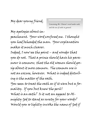*Concerning Mr. Clinton's word under oath, and the use of oaths in general.* 

My apologies about impeachment. Your word confused me. I thought you had beheaded the man. Your explanation makes it much clearer.

Indeed, I now see the point – and wonder that you do not. That a prince should have his paramour is common; that the old women should gossip about it more common. The common use is not an excuse, however. What is indeed disturbing is the matter of the oath.

You seem to treat the oath as if it were but a formality. If you but knew the peril! What is an oath? Is it not an appeal to Almighty God to stand as surety for your words? Would you so lightly invoke the name of God if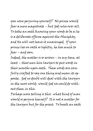you were perjuring yourself? No prince would fear a mere magistrate – but God rules over all. To take an oath knowing your words to be a lie is a deliberate offense against the Almighty, and He will not leave it unavenged. If your prince lies on oath so lightly, he has much to fear – and soon.

Indeed, the matter is so serious – in my time, at least – that men hire lawyers to put words in their mouths upon oath. These words are carefully crafted to say one thing and mean its opposite. God no doubt will deal with the lawyers in the next world; would God we could do without them in this.

Perhaps more telling is this: what kind of man would so perjure himself? It is not a matter for the lawyers but for the priest. To break an oath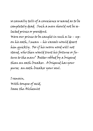so casually tells of a conscience so seared as to be completely dead. Such a man should not be selected prince or president.

Were our prince to be caught in such a lie – upon his oath, I mean – his vassals would desert him quickly. For if his sworn word will not stand, who then would trust his fortune or future to the man? Better robbed by a brigand than an oath-breaker. A brigand has your purse; an oath-breaker your soul.

I remain, With tongue of acid, Isaac the Alchemist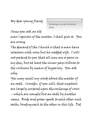*On marriage as an oath, and marital fidelity.* 

Since you ask an old man's opinion of the matter, I shall give it. You are wrong.

The demand of the Church is that a man have relations with none but his wedded wife. I will not pretend to you that all men are so pious in my day, but at least the sinner pays tribute to the virtuous by means of hypocrisy. You ask why.

You may recall my words about the matter of an oath. Consider, if you will, that nuptials are largely centered upon the exchange of vows – which are naught but an oath by another name. Bride and groom speak to each other such oaths, binding each to the other in this life. Did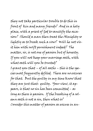they not take particular trouble to do this in front of kin and many friends? And in a holy place, with a priest of God to sanctify the occasion? Should a man then treat the Almighty so lightly as to break such a vow? Will he not visit him with swift punishment indeed? The matter, sir, is not one of passion but of honesty. If you will not keep your marriage oath, with what oath will you be trusted? I grant you that – of all oaths – this is the species most frequently defiled. There are no excuses for that. But the guilty in my time know that they are just that: guilty. Your view, it appears, is that no sin has been committed – as long as there is passion. If the breaking of a solemn oath is not a sin, then what is? Consider this matter of passion as excuse in an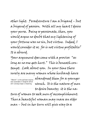other light. Peradventure I am a brigand – but a brigand of passion. With all my heart I desire your purse. Being so passionate, then, you would argue no doubt that my lightening of your fortune was no sin, but virtue. Indeed, I would consider it so; for is not virtue profitable? It is absurd.

Your argument does come with a proviso: "as long as no one gets hurt." This is beneath contempt. Look about you. In your time there surely are many women whose husbands have

abandoned them for a younger wench. It is the nature of men *"Wench" is the politest expression available in English which still conveys Isaac's meaning.* 

to desire beauty; it is the na-

ture of women to seek men of accomplishment. Thus a beautiful woman may snare an older man – but in her turn will give way to a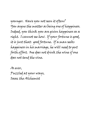younger. Have you not seen it often? You argue the matter as being one of happiness. Indeed, you think you are given happiness as a right. I cannot see how. If your fortune is good, it is just that: good fortune. If a man seeks happiness in his marriage, he will need to put forth effort. One does not drink the wine if one does not tend the vine.

As ever, Puzzled at your ways, Isaac the Alchemist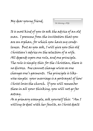*On Selecting a Wife* 

It is most kind of you to ask the advice of an old man. I presume from the invitation that you are an orphan, for which you have my condolences. But as you ask, I will give you this old Christian's advice on the selection of a wife. All depends upon one rule, and one principle. The rule is simply this: for the Christian, there is no divorce. One cannot change wives as one changes one's garments. The principle is likewise simple: your marriage is a portrayal of how Christ loves the church. If you will remember these in all your thinking, you will not go far astray.

As a primary example, ask yourself this: "Am I willing to deal with her faults, as Christ dealt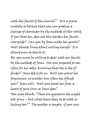with the faults of the church?" It is a grave mistake to believe that you can produce a change of character by the methods of this world. If you beat her, does not this harden her faults into pride? Can you by force make her gentle? Will threats bring about willing hands? It is absurd even to think it.

No, you must be willing to deal with her faults by the methods of Jesus. Are you prepared to sacrifice for her sake, knowing that she is the offender? Jesus did so for us. Will you grant her forgiveness, no matter how often she offends you? Jesus will. Will you treat her from a heart of pure love, as Jesus does? You may think, "These are questions she might ask of me – but what have they to do with selecting her?" The matter is simple: if you can-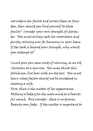not endure her faults and correct them as Jesus does, then should you bind yourself to those faults? Consider your own strength of character. You must always seek her restoration and purity, striving ever for harmony in your home. If the task is beyond your strength, why would you attempt it?

I must give you some words of warning, as an old Christian to a new one. You may think this foolishness, but bear with an old soul. You must learn what factors should not be considered in choosing a wife.

First, there is the matter of her appearance. Nothing so bedazzles the male mind as a beautiful wench. But consider: there is no divorce. Beauty soon fades. If the matter is important to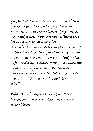you, how will you treat her when it does? Will you rail against her for her faded beauty? She has no recourse in the matter, for God causes all mankind to age. If you are not willing to love her in old age, do not marry her. It may be that you have learned that lesson. If so, then I must caution you about another great abyss: money. Often a young man finds a rich wife – and a new master. Money is an excellent servant, but a poor master. He who marries money marries that master. Would you have your life ruled by your wife's ambition and pride?

What then should a man look for? Many things; but here are four that seem most important to me.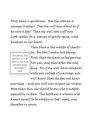First, there is gentleness. Has the woman a younger brother? Does she cuff him about as if he were a dog? Then she will soon cuff you. Look rather for a woman of gentle spirit, with kindness in her heart.

*The phrase "bed partner" is to be taken in the most physical sense (translator's note).* 

Then there is the matter of chastity. By this I mean two things. First, that she have no bed partner but you, and that after the wedding. For if she will have relations with you outside of marriage, you will know that she does not honor

marriage – and you will ever suspect her virtue. More than this, she should be one who is modest, especially in dress. This betokens a woman who knows herself to be worthy in God's sight, and therefore in yours.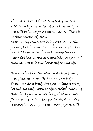Third, ask this: is she willing to aid one and all? Is her life one of Christian charity? If so, you will be housed in a generous heart. There is no finer accommodation.

Last – in sequence, not in importance – is she pious? Does she honor God in her conduct? Then she will have no trouble in honoring the one whom God has set over her, especially as you will take pains to rule over her as God commands.

Do remember that this woman shall be flesh of your flesh, your own flesh in another body. There is no closer bond. Are you willing to sit by her sick bed and watch her die slowly? Knowing that she is your very own body, that your own flesh is going down to the grave? Or, should God be so gracious as to grant you many years, will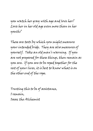you watch her gray with age and love her? Love her in her old age even more than in her youth?

These are tests by which you might measure your intended bride. They are also measures of yourself. Take an old man's warning. If you are not prepared for these things, then remain as you are. If you are to be roped together for the rest of your lives, it is best to know what is on the other end of the rope.

Trusting this to be of assistance, I remain, Isaac the Alchemist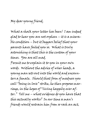What a shock your letter has been! I am indeed glad to hear you are not orphan – it is a miserable condition – but it beggars belief that your parents have failed you so. What is truly astonishing is that this is the custom of your times. You are all mad.

Permit me to explain it to you in your own words. Without the advice of wiser heads, a young man sets out into the world and encounters a female. Should that form of madness you call "being in love" strike, he then proposes marriage, in the hopes of "living happily ever after." Tell me – what evidence do you have that this actually works? In our time a man's friends would restrain him from so rash an act,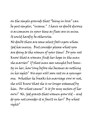on the simple grounds that "being in love" can be put simpler, "insane." I have no doubt divorce is as common in your time as fleas are in mine. It could hardly be otherwise.

No doubt there are some select fools upon whom God has mercy. But consider please what you are doing to the women of your time! Do you not know that a woman finds her hope in the man she marries? If that man sees naught but beauty in her, how long before she becomes as nothing in his sight? His eyes will soon rest on a younger one. Whether he breaks his marriage vow or not, she will know that she is no longer esteemed by him. For what cause? Is it for any action of her own? No, God grants that women grow old – and do you not consider it a fault in her? By what right?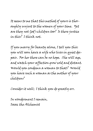It seems to me that this method of yours is thoroughly unjust to the women of your time. Yet are they not God's children too? Is there justice in this? I think not.

If you marry for beauty alone, I tell you this: you will soon have a wife who lives in quiet despair. For her there can be no hope. She will age, and watch your affection grow cold and distant. Would you condemn a woman to that? Would you have such a woman as the mother of your children?

Consider it well; I think you do greatly err.

In wonderment I remain, Isaac the Alchemist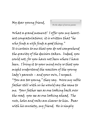*On the subject of nervous parents* 

What a grand moment! I offer you my heartiest congratulations; it is written that "he who finds a wife finds a good thing." It is certain to me that you do not comprehend the gravity of the decision taken. Indeed, you could not, for you have not been where I have been. I bring it to your mind only so that you might understand the reaction of the young lady's parents – and your own, I suspect. "You are too young," they say. Were my noble father still with us he would say the same to me. Your father sees as one looking back over the road; you see as one looking ahead. The ruts, holes and rocks are clearer to him. Bear with his anxiety, my friend. He is simply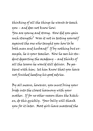thinking of all the things he wants to teach you – and does not know how.

You are young and strong. How did you gain such strength? Was it not in testing yourself against the one who taught you how to be both man and husband? If by nothing but example, he is your teacher. Now he sees his student departing the academy – and thinks of all the lessons he would still deliver. Be patient with him; let him know that you have not finished heeding his good advice.

By all means, however, you must bring your bride into the closest harmony with your mother. If for no other reason than the kitchen, do this quickly. Your belly will thank you for it later. Most girls have mastered the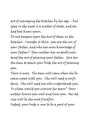art of managing the kitchen by her age – but spice in the meal is a matter of taste, and she had best know yours.

Do not trespass upon the two of them in the kitchen. Consider it thus: you are the son of your father, and who has more knowledge of your father? Your mother has no doubt mastered the art of pleasing your father. Give her the time to teach your bride the art of pleasing you.

There is more. The time will come when she becomes upset with you. She will need a confidant. She will need one who understands you. To whom would you entrust her tears? Your mother knows you well and loves you. Her advice will be the most fruitful. Indeed, your bride is now to be a part of your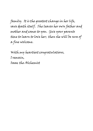family. It is the greatest change in her life, save death itself. She leaves her own father and mother and comes to you. Give your parents time to learn to love her; then she will be sure of a fine welcome.

With my heartiest congratulations, I remain, Isaac the Alchemist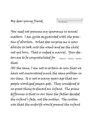*On Abortion* 

You need not presume my ignorance in sexual matters. I am quite acquainted with the practice of abortion. What does surprise me is your ability to look into the womb and see the child not yet born. That is indeed a marvel. Your doctors are to be congratulated for that. *"Doctors" - literally, "leeches"* 

All the same, I am not so certain as you that we have not encountered much the same problem in our time. It is not so many years ago that our people worshiped pagan gods. They considered it no great thing to discard an infant. The prime difference is that in our time the father decided the infant's fate, not the mother. The custom was that the midwife would present the infant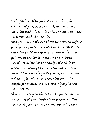to the father. If he picked up the child, he acknowledged it as his own. If he turned his back, the midwife was to take the child into the wilderness and abandon it.

At a guess, most of your abortions concern infant girls, do they not? So it was with us. Most often when the child was spurned it was for being a girl. Often the tender heart of the midwife would not allow her to abandon the child to death. She would take it to the market and leave it there – to be picked up by the priestesses of Aphrodite, who would raise the girl to be a temple prostitute. We, too, worshiped the animal nature.

Abortion is largely the art of the prostitute, for she cannot ply her trade when pregnant. They learn early how to use the instrument of abor-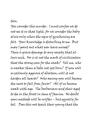## tion.

You consider this murder. I must confess we do not see it in that light, for we consider the baby alive only when the signs of quickening are felt. Your knowledge is disturbing to me. But may I point out what you have missed? There is grave damage to any society that allows such. For is it not the mark of civilization that the strong care for the weak? Tell me, who is weaker than a babe not yet born? If you will so callously approve of abortion, will it not harden all hearts? Who among you will become the next to fall from favor? All of us become weak with age. The barbarians send their aged to die in the forest in time of famine. No doubt your methods will be swifter – but equally fatal. Does this not teach their young that the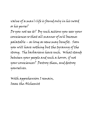value of a man's life is found only in his sword or his purse?

Do you not see it? By such actions you sear your consciences so that all manner of evil becomes palatable – as long as some may benefit. Soon you will have nothing but the tyranny of the strong. The barbarians have such. What stands between your people and such a horror, if not your consciences? Destroy them, and destroy yourselves.

With apprehension I remain, Isaac the Alchemist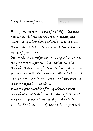*On anesthetics, and pain* 

Your question reminds me of a child in the market place. All things are lovely; many are sweet – and when asked which he would have, the answer is, "all." So I am with the achievements of your time.

But of all the wonders you have described to me, the greatest temptation is anesthetics. The thought that one might live without pain is indeed a temptress like no woman who ever lived. I wonder if you have considered what this must do to your people in your time.

We are quite capable of being without pain – enough wine will achieve the same effect. But one cannot go about one's daily tasks while drunk. That one could do the work and not feel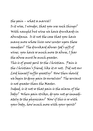the pain – what a marvel!

Is it wise, I wonder, that you use such things? With naught but wine we have drunkards in abundance. Is it not the case that you have many more whose lives now center upon these remedies? The drunkard abuses God's gift of wine; you have so much more to abuse, I fear the abuse must be much greater.

This is of great peril to the Christian. Pain is the Christian's friend, like it or not. Did not our Lord himself suffer greatly? How then should we begin to deny pain to ourselves? The servant is not greater than the Master.

Indeed, is it not so that pain is the alarm of the body? When pain strikes, do you not go immediately to the physician? Now if this is so with your body, how much more with your spirit?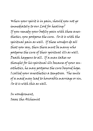When your spirit is in pain, should you not go immediately to our Lord for healing? If you remedy your bodily pain with these anesthetics, you postpone the cure. So it is with the spiritual pain as well. If these wonders do all that you say, then there must be many who postpone the cure of their spiritual ills as well. Death happens to all. If a man takes no thought for his spiritual ills because of your anesthetics, he may postpone the cure beyond hope. I called your anesthetics a temptress. The smile of a maid may lead to honorable marriage or sin. So it is with this as well.

In wonderment, Isaac the Alchemist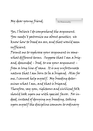*On Homosexuality* 

Yes, I believe I do comprehend the argument. You needn't patronize me about genetics; we know how to breed an ass, and that would seem sufficient.

Permit me to rephrase your argument in somewhat different terms. Suppose that I am a brigand, descended – bred, to use your argument – from a long line of same. It is my unfortunate nature that I am born to be a brigand. Alas for me, I cannot help myself. My breeding determines what I am, and that is brigand. Therefore, say you, righteous and civilized folk should look upon me with special favor. For indeed, instead of denying my breeding, taking upon myself the discipline common to ordinary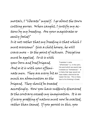mortals, I "liberate" myself. I go about the town cutting purses. When caught, I justify my actions by my breeding. Are your magistrates so easily fooled?

Is it not rather that my breeding is that which I must overcome? Give a child honey, he will crave more – to the point of sickness. Discipline must be applied. So it is with

your born and bred brigand. And so it is with your effeminate men. They are every bit as much an abomination as the

*Translator's note: "effeminate" is, in the Latin, the word which we would now translate as "homosexual." It is likely that Isaac would not have made a distinction between the two. This is likely due to his thinking in Greek.* 

brigand. They should be treated accordingly. How you have suddenly discovered to the contrary exceeds my imagination. It is as if every prodding of nature must now be exalted, rather than tamed. If you persist in this, you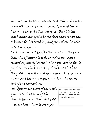will become a race of barbarians. The barbarian is one who cannot control himself – and therefore must control others by force. For it is the chief character of the barbarian that others are to blame for his troubles, and from them he will extort recompense.

I ask you: for all the blather, is it not the case that the effeminate seek to make you agree that they are righteous? That you are at fault for their troubles, not they themselves? That they will not rest until you admit that you are wrong and they are righteous? It is the surest test of the barbarian.

You distress me most of all with your tale that some of the church think as this. As I told you, we know how to breed an

*Translator's note: this is as polite a translation as I can provide. Please forgive any unintended offense.*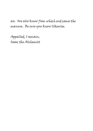ass. We also know from which end comes the manure. Be sure you know likewise.

Appalled, I remain, Isaac the Alchemist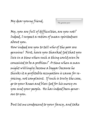*The genuine poor* 

My, you are full of difficulties, are you not? Indeed, I suspect a ration of mean-spiritedness about you.

How indeed are you to tell who of the poor are genuine! First, have you thanked God that you live in a time when such a thing could even be conceived to be a problem? A time when a man might willingly become a beggar because he thinks it a profitable occupation is cause for rejoicing, not complaint. If such is truly the case, go to your knees and bless God for his mercy on you and your people. He has indeed been generous to you.

But let me condescend to your fancy, and take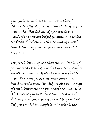your problem with all seriousness – though I still have difficulty in crediting it. First, is this your task? Has God called you to seek out which of the poor are indeed genuine, and which are frauds? Where is such a command given? Search the Scriptures as you please, you will not find it.

Very well, let us suppose that the number is sufficient to cause you doubt that you are giving to one who is genuine. Of what concern is that to you? The money is as gone when given to a fraud as to the true. You did not give it as a sign of truth, but rather at your Lord's command. It is his reward you seek. Be diligent to avoid the obvious fraud, but commit the rest to your Lord. Did you think him completely impotent, that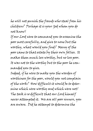he will not punish the frauds who steal from his children? Perhaps it is your God whom you do not know!

If our Lord were to command you to examine the poor most carefully, and give to none but the worthy, what would you find? Many of the poor came to that estate by their own follies. It makes them much less worthy, but no less poor. It was not to the worthy but to the poor he commanded you to give.

Indeed, if he were to make you the warden of worthiness for the poor, would you not complain of the work? How difficult it would be to determine which were worthy and which were not! The task is so difficult that our Lord himself never attempted it. We are all poor sinners, you are aware. Did he attempt to determine the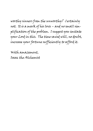worthy sinners from the unworthy? Certainly not. It is a mark of his love – and no small simplification of the problem. I suggest you imitate your Lord in this. The time saved will, no doubt, increase your fortune sufficiently to afford it.

With amazement, Isaac the Alchemist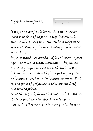*On Visiting the Sick* 

It is of some comfort to know that your government is as fond of paper and regulations as is ours. Even so, need your church be so swift to cooperate? Visiting the sick is a duty commanded of our Lord.

My own mind was awakened to this many years ago. There was a man, Hermanus. By all accounts a greedy and evil man through most of his life, he rose in wealth through his greed. As he became older, his wives became younger. But by the grace of God he came to know the Lord, and was baptized.

As with all flesh, he met his end. In his instance it was a most painful death of a lingering waste. I well remember his young wife. In fear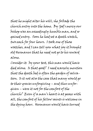that he might alter his will, she forbade the church entry into the home. By God's mercy our bishop was an exceedingly humble man, and so gained entry. Soon he had set a death watch, two each for four hours. I took one of those watches, and I can tell you what joy it brought old Hermanus that he need not go to his reward alone.

Consider it: by your test, this man would have died alone. Is that good? I need scarcely mention that the death bed is often the garden of salvation. Is it not also the case that many would go to their graves unforgiving – and thus unforgiven – were it not for the comfort of the church? Even if a man's heart is at peace with all, the comfort of his fellow saints is welcome in the dying hour. Hermanus would have turned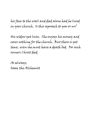his face to the wall and died alone had he lived in your church. Is this reproach to you or us?

His widow yet lives. She enjoys his money and cares nothing for the church. But there is yet time; even she must have a death bed. For such sinners Christ died.

As always, Isaac the Alchemist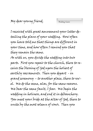*Wedding Guests* 

I received with great amusement your letter detailing the plans of your wedding. How often you have told me that things are different in your time, and how often I remind you that they remain the same.

As with us, you divide the wedding into two parts. First you repair to the church, there to receive the blessing of God upon the holiest of earthly sacraments. Then you depart - in grand ceremony – to another place, there to revel. We do the same, alas, for the same reasons. We bear the same fault, I fear. We begin the wedding in holiness, and end it in debauchery. You meet your bride at the altar of God, there to unite by the most solemn of vows. Then you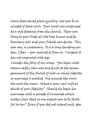leave that sacred place quickly, lest you be reminded of those vows. Your revels are conducted at a safe distance from the church. There you bring to your bride all the base humor and debauchery you and your friends can devise. This, you say, is customary. It is a long standing custom, I fear – you received it from us. I suspect it has not improved with age.

Consider the folly of our ways. You begin with solemn oaths; then eat and drink to the accompaniment of the foulest of jests in which fidelity in marriage is mocked. One minute the vows; the next the sneers. What is your new wife to think of your fidelity? Should she begin her marriage with a parade of innuendo which makes clear that no one expects you to be faithful to her? Even if you did not intend such, does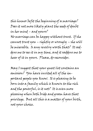this humor befit the beginning of a marriage? Does it not more likely plant the seeds of doubt in her mind – and yours?

No marriage can be happy without trust. If she cannot trust you – rightly or wrongly – she will be miserable. Is any revelry worth that? It saddens me to see it in my time, and it saddens me to hear of it in yours. Please, do reconsider.

May I suggest that your guest list contains an omission? You have invited all of the important people you know. It is pleasing to be born into a family which is known to the rich and the powerful, is it not? It is even more pleasing when both bride and groom have that privilege. But all this is a matter of your birth, not your choice.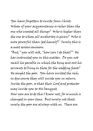You have forgotten to invite Jesus Christ. Whom of your acquaintance is richer than the one who created all things? Who is higher than the one to whom all authority is given? Who is more powerful than God himself? Surely this is a most serious omission.

"But," you will ask, "how can I do that?" He has instructed you in this matter. Do you not recall his parable in which the king sent out his servants to bring in those for the wedding feast? He sought the poor. You have invited the rich; in due course they will invite you in return. Invite the poor, so that their Lord and protector may invite you to His banquet. How you are to do this I know not, for so much is changed in your time. But surely not that; surely the poor are always with us. There are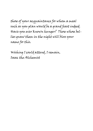those of your acquaintance for whom a meal such as you plan would be a grand feast indeed. Have you ever known hunger? Those whose bellies gnaw them in the night will bless your name for this.

Wishing I could attend, I remain, Isaac the Alchemist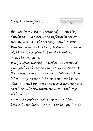*The Daily Beggar* 

How easily you become annoyed in your city! Surely this is a man whose infirmities are obvious. He is blind – that is easy enough to test. Whether or not he has this fell disease you name AIDS may be hidden, but surely blindness should be sufficient.

Why, indeed, has God made this man to stand in your path each day as you go to your work? As the Scripture says, the poor are always with us. If his blind eyes seem to be upon you most particularly, should you not take it as a sign from the Lord? For who else directs the eyes – and steps – of the blind?

There is a simple enough purpose in all this. Like all Christians, you must be taught to give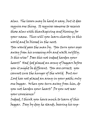alms. The lesson may be hard or easy, but it does require one thing. It requires someone to receive those alms with thanksgiving and blessing for your name. Thus will you learn charity in this world and be blessed in the next.

You would pass the man by. You turn your eyes away from his unseeing orbs and walk swiftly. Is this wise? Does this not indeed harden your heart? Had God placed an army of beggars before you it might be different. You are correct; you cannot cure the hunger of the world. But our Lord has not placed an army in your path; only one beggar. When you turn away from him, do you not harden your heart? Do you not sear your conscience?

Indeed, I think you have much to learn of this beggar. Day by day he stands, bearing his sup-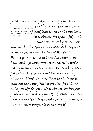## plication on silent paper. Surely you can see

*By "silent paper" I believe that Isaac would mean a cardboard sign, such as is common with beggars today.* 

that by this method he is fed  $$ and thus learn that persistence is a virtue. For if he is fed in his

quiet persistence by the sinners who pass by, how much more will we be fed if we persist in beseeching the Lord of Heaven? Your beggar dispenses yet another lesson to you. Does not his poverty test your wealth? At the least you should examine yourself and be grateful to God that you are not the one standing alone and blind. Do more than that. Consider that our heavenly Father provides for this man as he provides for you. No doubt you prefer your provision, but do ask yourself: of what true value is my wealth? Is it simply for my pleasure, or is some greater purpose to be achieved?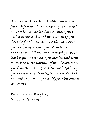You tell me that AIDS is fatal. My young friend, life is fatal. This beggar gives you yet another lesson. He teaches you that your end will come too, and who knows which of you shall die first? Consider well the manner of your end, and commit your ways to God. Taken in all, I think you are highly indebted to this beggar. He teaches you charity and persistence, breaks the hardness of your heart, tears you from the snares of wealth and helps bring you to a good end. Surely, for such services as he has rendered to you, you could spare the man a coin or two?

With my kindest regards, Isaac the alchemist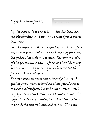*The Chains of Greed* 

I quite agree. It is the petty injustice that has the bitter sting, and you have been done a petty injustice.

All the same, one should expect it. It is no different in our time. When the rich man approaches the palace his welcome is sure. The minor clerks of the government are swift to see that his every desire is met. So you see, you inherited all this from us. I do apologize.

The rich man always has a friend at court. I gather from your letter that these few changes to your modest dwelling take an enormous toll in paper and taxes. The taxes I understand; the paper I have never understood. But the nature of the clerks has not changed either. That his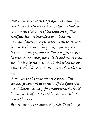vast plans meet with swift approval while your small one idles from one clerk to the next—I can but say our clerks are of the same breed. Their bloodline does not bear close examination. Consider, however, if you really wish to strive to be rich: Is this man truly rich, or merely attached to great possessions? There is quite a difference. A man may have little and yet be rich. How? Simply thus: a man is rich when his possessions exceed his desires. He is poor when they do not.

So you see that possessions are a mask! They conceal poverty often enough. If the desire of a man's heart is always for greater wealth, could he ever be satisfied? Could he ever be rich? It cannot be done.

How strong are the chains of greed! They bind a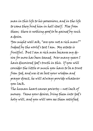man in this life to his possessions, and in the life to come they bind him in hell itself. Flee from them; there is nothing good to be gained by such a desire.

You might well ask, "are you not a rich man?" Indeed by the world's test I am. My estate is fruitful. But I am a rich man because my desire for more has been tamed. Over many years I have discovered God's truth in this. If you will consider the little or much you have to be a trust from God, and use it as best your wisdom and prayer direct, he will always provide whatever you lack.

The human heart causes poverty—not lack of money. Tame your desires, bring them into God's holy will, and you will soon see them satisfied.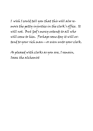I wish I could tell you that this will also remove the petty injustice in the clerk's office. It will not. But God's mercy extends to all who will come to him. Perhaps some day it will extend to your rich man—or even unto your clerk.

As pleased with clerks as you are, I remain, Isaac the alchemist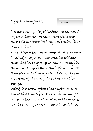I see have been guilty of leading you astray. In my commiseration on the nature of the city clerk I did not intend to bring you trouble. But it seems I have.

The problem is the lure of gossip. How often have I walked away from a conversation wishing that I had held my tongue! One says things in the moment of discussion which often prove less than pleasant when repeated. Even if they are not repeated, the worry that they might be is enough.

Indeed, it is worse. Often I have left such a session with a troubled conscience, wondering if I said more than I know. How often I have said, "that's true!" of something about which I was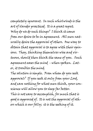completely ignorant. In such whirlwinds is the art of slander practiced. It is a great regret. Why do we do such things? I think it comes from our desire to be in agreement. All men naturally desire the approval of others. One way to obtain that approval is to agree with their opinions. They, thinking themselves wise and virtuous, should then think the same of you. Such agreement eases the mind - when spoken. Later, it troubles the mind.

The solution is simple. From whom do you seek approval? If you seek it only from your Lord, and care nothing for what men think, your conscience will allow you to sleep far better. This is not easy to accomplish, for much that is good is approved of. It is not the approval of others which is our folly; it is the seeking of it.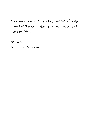Look only to your Lord Jesus, and all other approval will mean nothing. Trust first and always in Him.

As ever, Isaac the alchemist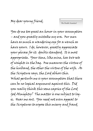*The Double Standard* 

You do me too great an honor in your assumption – and you greatly mistake my era. Our men have as much a wandering eye for a wench as have yours. I do, however, greatly appreciate your phrase for it: double standard. It is most appropriate. Your time, like mine, has two sets of weights in the bag. One measures the virtue of the husband, the other the virtue of the wife. As the Scripture says, the Lord abhors this. What perturbs me is your assumption that there can be no logical argument against this. Did you really think this some caprice of the Lord God Almighty? The matter is one subject to logic. Hear me out. You need not even appeal to the Scriptures to expose this misery and fraud.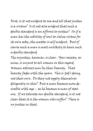First, is it not evident to one and all that justice is a virtue? Is it not also evident that such a double standard is an affront to justice? So if a man has the nobility of soul to value virtue for its own sake, the matter is self evident. But of course such a man is most unlikely to have such a double standard.

The injustice, however, is clear. Your society, as mine, is unjust to all women in this regard. Women attract men by their beauty. That beauty fades with the years. This is God's doing, not their own. Do they not apply themselves diligently in this? But a man becomes more desirable with age – as he becomes a man of stature. If we tolerate our double standard, is it not clear that it is the women who suffer? There is no justice in that.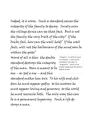Indeed, it is worse. Such a standard causes the integrity of the family to decay. Surely even the village dunce can see that fact. But is not the family the very brick of the city? If the bricks fail, how can the wall hold? If the wall fails, will not the barbarians of the mind soon be within the gate?

Worst of all is this: the double standard destroys the integrity of the man. Man is meant to be one – as God is one – and this

*"Integrity" is a difficult word to translate; it also can be translated "one-ness" or "singularity" - which is the original meaning of the word in English as well* 

standard makes him two. To his wife and children he must appear godly; to his mistress he must appear loving and generous; to the world he must reconcile both. The only way this can be is a permanent hypocrisy. Such a life destroys a man.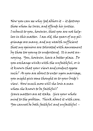Now you can see why God abhors it – it destroys those whom he loves, and offends his justice. I submit to you, however, that you are not helpless in this matter. I am old, the years of my pilgrimage are many, and my wealth sufficient that my opinions are tolerated with amusement by those too young to understand. It is most annoying. You, however, have a better place. Do you exchange winks with the unfaithful, or is it known that your views and conduct oppose such? As you are about to enter upon marriage, you might give some thought as to your bride's view. How much more will she love a man whom she knows to be faithful? Grave matters are at stake. Give your whole mind to the problem. Think about it with care.

You cannot be both faithful and unfaithful –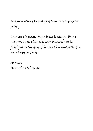and now would seem a good time to decide your policy.

I am an old man. My advice is cheap. But I may tell you this: my wife knew me to be faithful to the day of her death – and both of us were happier for it.

As ever, Isaac the alchemist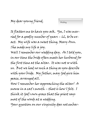| Wedding |
|---------|
|---------|

It flatters me to have you ask. Yes, I was married for a goodly number of years – 62, to be exact. My wife was a sweet thing, Mary Ann. She made my life a joy.

Well I remember our wedding day. As I told you, in our time the bride often meets her husband for the first time at the altar. It was not so with us. But we had no such a thing as you describe with your bride. My father, may God give him peace, arranged all.

How I remember her approaching the altar! A mouse in a cat's mouth – that is how I felt. I think it God's own grace that the priest says most of the words at a wedding. Your question on our virginity does not embar-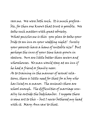rass me. We were both such. It is much preferable, for then one knows that trust is possible. We take such matters with great sobriety. What puzzles me is this: you plan to take your bride to an inn on your wedding night! Surely your parents have a home of suitable size? But perhaps the inns of your time have grown in stature. Ours are little better than sewers and whorehouses. No man would stay at an inn if he had a friend or family near. As to training in the manner of sexual relations, there is little need for that for a boy who has lived on a manor. The animals there are school enough. The difficulties of marriage usually lie outside the bedchamber. I suppose there is some art to this – but I never bothered my head with it. Mary Ann saw to that.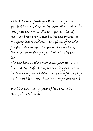To answer your final question: I suppose our greatest hours of difficulty came when I was absent from the home. She was greatly tested then, and none too pleased with the experience. My duty lay elsewhere. Though all of us who fought still consider it a glorious adventure, there can be no denying it. I was lonely then too.

She has been in the grave some years now. I miss her greatly. Life is very lonely. By God's grace I have many grandchildren, and they fill my life with laughter. But there is a void in my heart.

Wishing you many years of joy, I remain Isaac, the alchemist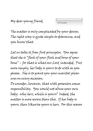*On Sexuality* 

The matter is only complicated by your desires. The right way is quite simple to determine, and you know that.

Let us take it from first principles. You agree that she is "flesh of your flesh and bone of your bone" – for that is what our Lord intended. Put more simply, her body is yours to do with as you please. She is to grant you your marital pleasures on every occasion.

Do consider, however, that with possession comes responsibility. You would not abuse your own body; why hers, which is yours? Indeed, the matter is more severe than this. If her body is yours, then likewise yours is hers. For this reason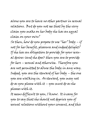alone you are to have no other partner in sexual relations. But do you not see that by the very claim you make on her body she has an equal claim on your own?

So then, how do you propose to use "her" body – if not for her benefit, pleasure and indeed delight? If she has an obligation to provide for your sexual desires (and she does) then you are to provide for hers – sexual and otherwise. Therefore you are not permitted to abuse the body in any way. Indeed, you are the steward of her body – the one you are walking in. As steward, you may not do as you please with it – you must do as she pleases with it.

It seems difficult to you, I know. It is easy for you to say that she should not deprive you of sexual relations without your consent, and this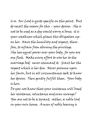is so. Our Lord is quite specific on this point. But do recall the reason for this – your desires. She is not to be used as a dog would worry a bone; it is your weakness which places this obligation upon her. Have the humility and respect, therefore, to refrain from abusing the privilege. She has equal power over your body, for you are one flesh. Make every effort to woo her to the marriage bed; never command it. Grant her the respect which is her due. Never presume upon her favor, but in all circumstances seek to know her desires. Then gently fulfill them. Your body is hers.

Do you not know that your insistence will breed her resistance, reluctance and even revenge? You are not to be a tyrant; rather, a noble lord in your own house. A man of noble bearing is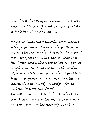never harsh, but kind and caring. Seek always what is best for her. You will soon find that she delights in giving you pleasure.

May an old man share one other grace, learned of long experience? It is easy to be gentle before entering the marriage bed, but after the moment of passion your character is shown. Grant her full honor; speak kind words to her; cling to her in affection. No woman wishes to think of herself as a man's toy; all desire to be his great love. When your passion has exhausted you, then be careful that your words are tender – for then will they be most remembered. One last: remember that the bedchamber has a door. When you are on the outside, be as gentle and courteous as on the other side of that door.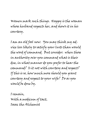Women mark such things. Happy is the woman whose husband respects her, and shows it in his courtesy.

I am an old fool now. You may think my advice less likely to satisfy your lusts than would the word of command. But consider: when those in authority over you command what is their due, in what manner do you prefer to hear the command? Is it not with courtesy and respect? If this is so, how much more should you grant courtesy and respect to your wife? Do as you would be done by.

I remain, With a modicum of tact, Isaac the Alchemist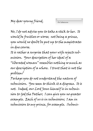*On Submission* 

No, I do not advise you to take a stick to her. It would be fruitless or worse; not being a prince, you would no doubt be put up to the magistrates in due course.

It is rather a surprise that your wife rejects submission. Your description of her ideal of a "liberated woman" resembles nothing so much as our description of a whore. I trust that is not the

problem?

Perhaps you do not understand the nature of submission. You seem to think it a disgrace. It is not. Indeed, our Lord Jesus himself is in submission to God the Father; I can give you no greater example. Each of us is in submission; I am in submission to my prince, for example. Submis-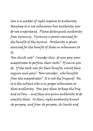sion is a matter of right response to authority. Mayhap it is not submission but authority you do not understand. Please distinguish authority from tyranny. Tyranny is power exercised for the benefit of the tyrant. Authority is power exercised for the benefit of those in submission to it.

You think not? Consider this: do you pay your magistrates to perform their task? Of course you do. If the task was for their benefit, would they require such pay? Now consider: who benefits from the magistrates? It is not the brigand! No, it is the subject who is in proper submission to that authority. You pay them to keep the brigand at bay – and they are given authority to do exactly that. So then, right authority knows its purpose, and from its purpose, its limits and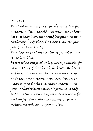its duties.

Right submission is the proper obedience to right authority. Thus, should your wife wish to know her own happiness, she should inquire as to your authority. To do that, she must know the purpose of that authority.

Know again that such authority is not for your benefit, but hers.

But to what purpose? It is given by example, for Christ is Lord of the church, his bride. He has the authority to command her in any way; so you have the same authority over her. But see to what purpose Christ uses that authority – to present that bride to himself "spotless and radiant." So then, your every command must be for her benefit. Even when she dissents from your method, she will honor your motive.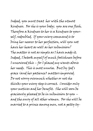Indeed, you must treat her with the utmost kindness. For she is your body; you are one flesh. Therefore a kindness to her is a kindness to yourself, redoubled. If your every command is to bring her nearer to her perfection, will you not have her heart as well as her submission? The matter is not as simple as I have made it. Indeed, I betook myself of much foolishness before I uncovered this – for I placed my wants above her needs. This is most unwise. But by God's grace (and her patience) matters improved. Do not worry overmuch whether or not she thinks your every step is correct. Consider only your motives and her benefit. She will soon be graciously pleased to be in submission to you – and the envy of all other women. For she will be married to a prince among men, not a petty ty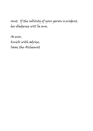rant. If the nobility of your person is evident, her obedience will be sure.

As ever, Quick with advice, Isaac the Alchemist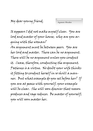*Argument Mistaken* 

It appears I did not make myself clear. You are lord and master of your house; why are you arguing with the woman? An argument must be between peers. You are her lord and master. There can be no argument. There will be no argument unless you conduct it. Cease, therefore, conducting the argument. Patience is a virtue. No doubt your wife thinks it fitting to conduct herself in so shrill a manner. But what example do you set before her? If you are at peace with yourself, your example will be clear. She will soon discover that reason produces and rage reduces. Be master of yourself; you will soon master her.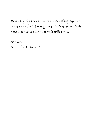How easy that sounds – to a man of my age. It is not easy, but it is required. Give it your whole heart, practice it, and soon it will come.

As ever, Isaac the Alchemist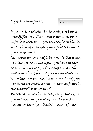*On Wrath* 

My humble apologies; I grievously erred upon your difficulty. The matter is not with your wife; it is with you. You are caught in the sin of wrath, and miserable your life will be until you free yourself.

Only seven sins are said to be mortal; this is one. Consider your own example. You howl in rage at your beloved wife; afterwards you are the most miserable of men. By your own words you know that her provocation was small and your wrath far too great. So then, who is at fault in this matter? Is it not you?

Wrath carries with it a salty tang. Indeed, do you not rehearse your wrath in the middle watches of the night, thinking anew of what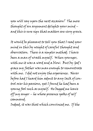you will say upon the next occasion? The mere thought of an argument delights your mind – and this is sure sign that matters are very grave.

It would be pleasant to tell you that I read your mind in this by weight of careful thought and observation. There is a simpler method; I have been a man of wrath myself. When younger, with me it was a word and a blow. But by God's grace my father was man enough to remonstrate with me. I did not enjoy the experience. Never before had I heard him admit to any lack of control over his passions, yet I found he had been a young fool such as myself. He begged me leave off my anger – he whose presence spoke of self command.

Indeed, it was that which convinced me. If the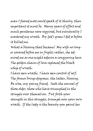man I feared most could speak of it thusly, then important it must be. Many years of effort and much penitence were required, but eventually I mastered my wrath. By God's grace I did so before it killed me.

What a blessing that became! My wife no longer cowered before me in fright; rather, she admired me as one might admire a conquering hero. The golden chains of love replaced the black whip of wrath.

I have seen wrath; I have seen control of self. The former brings disgrace; the latter, blessing. Be wise, my young friend. Seek the counsel of those older, those who have triumphed in the struggle over themselves. Put forth your strength in this struggle, triumph over your own wrath. If the lady is the beauty you paint her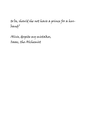to be, should she not have a prince for a husband?

Alive, despite my mistakes, Isaac, the Alchemist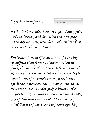*On Forgiveness* 

Well might you ask. You are right; I am quick with philosophy and slow with the more pragmatic advice. Very well, herewith find the first lesson of wrath: forgiveness.

Forgiveness is often difficult, if not for the injury suffered then for the injustice. When injured, the justice of our cause is often plain. The offender thus is often called or even compelled to repent. But if no visible injury is sustained (pride shows no scars) then no sympathy arises from others. So wounded pride is boiled in the midwatches of the night until it becomes a tasty dish of vengeance imagined. The only way to avoid this is to forgive, and to forgive quickly.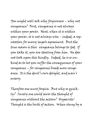You might well ask why forgiveness – why not vengeance? First, vengeance is not always within your power. Next, when it is within your power, it is not always wise – indeed, a reputation for mercy impels agreement. But the true reason is this: vengeance belongs to God. If you take it, you are stealing from him. He does not look upon this kindly. Indeed, he is so unkind as to let you suffer the consequences of your vengeance – for vengeance breeds more vengeance. It is the devil's own delight, and man's misery.

Therefore one must forgive. But why so quickly? Surely one could savor the thought of vengeance without the action? Hypocrite! Thought is the birth of action. When stung by a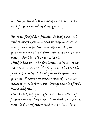bee, the poison is best removed quickly. So it is with forgiveness—best done quickly.

You will find this difficult. Indeed, you will find that oft you will need to forgive someone many times – for the same offense. As forgiveness is an act of divine love, it does not come easily. So it is well to practice it. I find it best to make forgiveness public – or at least announce it to the forgiven. Thus all the powers of society will aid you in keeping forgiveness. Forgiveness unannounced is soon retracted; public forgiveness brings the aid of both friend and enemy.

Take heart, my young friend. The rewards of forgiveness are very great. You shall soon find it easier to do, and others find you easier to live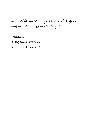with. Of far greater importance is this: God is most forgiving to those who forgive.

I remain, In old age garrulous, Isaac the Alchemist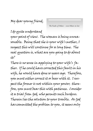*The Faults of Others—even Others-in-law* 

I do quite understand your point of view. The woman is being unreasonable. Being that she is your wife's mother, I suspect this will continue for a long time. The real question is, what are you going to do about it?

There is no sense in applying to your wife's father. If he could have corrected this fault in his wife, he would have done so years ago. Therefore, you must either correct it or bear with it. I suspect the former is not within your power; therefore, you must bear this with patience. Consider it a trial from God, who permits such burdens. Therein lies the solution to your trouble. As God has committed the problem to you, it seems only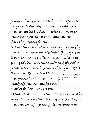fair you should return it to him. He, after all, has power to deal with it. But I should warn you. His method of dealing with it is often to strengthen you rather than cure her. You should be prepared for this.

Is it not the case that your anxiety is caused by your own unreasoning attitude? You expect her to be a paragon of civility, utterly reticent in giving advice – can the same be said of you? Especially to one much younger than yourself? I

think not. You have – I love your phrase for it – a double standard! One measure for you, another for her. Our Lord tells

*Latin "regula dupla", literally a standard which is folded twice.* 

us that we are not to do this. We are to love others as we love ourselves. Is it not the case that in your love for self you are quite forgiving of your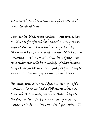own errors? Be charitable enough to extend the same standard to her.

Consider it: if all were perfect in our world, how could we suffer for Christ's sake? Surely that is a great virtue. This is such an opportunity. She is now kin to you, and you should take such suffering as being for His sake. In so doing your true character will be revealed. If that character does not please you, then pray to your Lord to amend it. You are yet young; there is time.

You may well ask how I dealt with my wife's mother. She never had a difficulty with me. From which you may conclude that I had all the difficulties. But time and her good heart washed this clean. We forgave; I grew wiser. It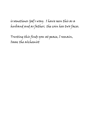is sometimes God's way. I have seen this as a husband and as father; the coin has two faces.

Trusting this finds you at peace, I remain, Isaac the alchemist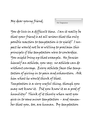*On Temptation* 

You do live in a difficult time. Can it really be that your friend is at all serious that the only possible reaction to temptation is to yield? I suspect he would not be so willing to proclaim this principle if the temptation were to cowardice. You might bring up that example. He fancies himself an athlete, you say; no athlete can do without courage. Every athlete faces the temptation of giving in to pain and exhaustion. Ask him what he would think of that.

Temptation is a very useful thing, though you may not know it. Did you know it as a prod of humility? Think of it thusly when next you give in to some minor temptation – and remember that you, too, are human. By temptation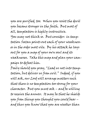you are purified, too. When you resist the devil you become stronger in the faith. But most of all, temptation is highly instructive. You may not think so. But consider: in temptation Satan points out each of your weaknesses in the order most vile. By his attack he lays out for you a map of your own soul and its weaknesses. Take this map and plan your campaign to defeat him.

Daily should you pray, "Lead us not into temptation, but deliver us from evil." Indeed, if you will ask, our Lord will arrange matters such that there is no temptation too strong for your character. But you must ask – and be willing to receive the answer. It may be that he shields you from things you thought you could bear – and thus you know that you are weaker than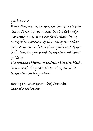you believed. When that occurs, do remember how temptation starts. It flows from a scant trust of God and a wavering mind. It is your faith that is being tested in temptation; do you really trust that God's ways are far better than your own? If you doubt that in your mind, temptation will grow quickly.

The greatest of fortresses are built block by block. So it is with the great saints. They are built temptation by temptation.

Hoping this eases your mind, I remain Isaac the alchemist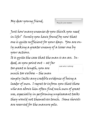*Pray for your enemies* 

Just how many enemies do you think you need in life? Surely you have found by now that one is quite sufficient for your days. You are only making a greater enemy of a lesser one by your actions. It is quite the case that the man is an ass. Indeed, as you point out – at far too great a length, you are much too verbose – the man simply lacks any credible evidence of being a leader of men. I regret to inform you that those who are above him often find such men of great use, especially in performing unpleasant tasks they would not themselves touch. Some shovels are reserved for the manure pile. *Look who's talking!*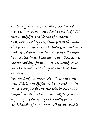The true question is this: what shall you do about it? Have you tried Christ's method? It is recommended by the highest of authority. First, you must begin by doing good to this man. This does not seem natural. Indeed, it is not natural; it is divine. Our Lord did much the same for us at the Cross. I can assure you that he will suspect nothing, for your motives would never enter his mind. Seek the good you can do him, and do it.

But our Lord continues: bless those who curse you. This is more difficult. Doing good may be seen as currying favor; this will be seen as incomprehensible. Let it. It will baffle your enemy to a great degree. Speak kindly to him; speak kindly of him. He is well accustomed to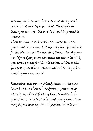dealing with anger; his skill in dealing with peace is not nearly so polished. Thus you see that you transfer the battle from his ground to your own.

Then you must seek ultimate victory. Go to your Lord in prayer; lift up holy hands and ask for his blessing at the hands of Jesus. Surely you would not deny even this man his salvation? If you would pray for his salvation, which is the greatest of blessings, what smaller blessing is beneath your contempt?

Remember, my young friend, that in war you have but two choices – to destroy your enemy utterly or, after defeating him, to make him your friend. The first is beyond your power. You may defeat him again and again, only to find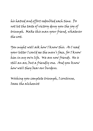his hatred and effort redoubled each time. Do not let the taste of victory deny you the joy of triumph. Make this man your friend, whatever the cost.

You might well ask how I know this. As I read your letter I could see the man's face, for I know him in my own life. We are now friends. He is still an ass, but a friendly one. And you know how well they bear our burdens.

Wishing you complete triumph, I continue, Isaac the alchemist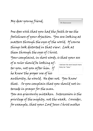*On Intercession* 

One does wish that you had the faith to see the foolishness of your objection. You are looking at matters through the eyes of the world. Of course things look distorted in that view. Look at them through the eyes of Christ. Your complaint, in short words, is that your ass of a ruler should be looking after you, not you after him. If he knew the proper use of his authority, he would. He does not. You know that. So you complain that you should not intercede in prayer for the man. You are grievously mistaken. Intercession is the privilege of the mighty, not the weak. Consider, for example, that your Lord Jesus Christ makes *I believe the word would more likely be "boss."*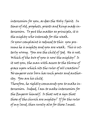intercession for you, as does the Holy Spirit. In times of old, prophets, priests and kings made intercession. To put the matter as principle, it is the mighty who intercede for the weak. So your complaint is reduced to this: you presume he is mighty and you are weak. This is utterly wrong. You are the child of God. He is not. Which of the two of you is now the mighty? Is it not you, the man with access to the throne of grace upon which sits the ruler of all creation? No emperor ever born has such power and authority. You are his child.

Therefore, he rightly commands you to make intercession. Indeed, I am to make intercession for the Emperor himself. Is that not a sign that those of the church are mighty? If for the ruler of my land, then surely also for those I meet.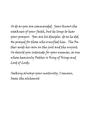So do as you are commanded. Jesus knows the weakness of your faith, but he longs to hear your prayers. You are his disciple; do as he did. He prayed for those who crucified him. The Father sends his rain on the just and the unjust. So should you intercede for your enemies, as one whose heavenly Father is King of Kings and Lord of Lords.

Seeking always your maturity, I remain, Isaac the alchemist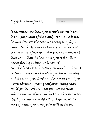It astonishes me that you trouble yourself to visit this physician of the mind. From his advice, he well deserves the title we accord our physicians: leech. It seems he has extracted a great deal of money from you. His prize achievement thus far is this: he has made you feel guilty about feeling guilty. It is absurd. All this because you "worry too much." There is certainly a good reason why you have received no help from your Lord and Savior in this. You worry about anything and everything that could possibly occur. Can you not see that, while any one of your worries could become reality, by no chance could all of them do so? So most of what you worry over will never be.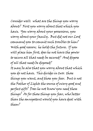Consider well: what are the things you worry about? First you worry about that which you have. You worry about your possessions, you worry about your family. But did not our Lord command you to commit such troubles to him? With good reason; he holds the future. If you will place him first, does he not have the power to secure all that needs be secured? And dispose of all that needs be disposed? It may be also that you worry about that which you do not have. This divides in two: those things you want, and those you fear. But is not the Father of Lights the source of every good and perfect gift? Does he not know you need these things? As for those things you fear, who better than the omnipotent would you have deal with them?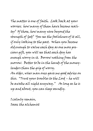The matter is one of faith. Look back at your worries; how many of them have become reality? Of those, how many were beyond the strength of God? You see the foolishness of it all, if only looking to the past. When you become old enough to value each day as one more precious gift, you will see that each day has enough worry in it. Borrow nothing from the morrow. Better to be in the hands of the moneylenders than the grip of worry. An older, wiser man once gave me good advice on this. "Trust your troubles to the Lord – he will be awake all night anyway." As long as he is up and about, you can sleep soundly.

I calmly remain, Isaac the alchemist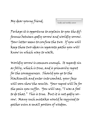*Godly and worldly sorrow* 

Perhaps it is opportune to explain to you the difference between godly sorrow and worldly sorrow. Your letter seems to confuse the two. If you will keep these two ideas in separate paths you will know in which way to walk.

Worldly sorrow is common enough. It regards sin as folly, which is true, and is primarily regret for the consequences. Should you go to the blacksmith and enter into combat, your face will soon show the results. Your regret will be for the pain you suffer. You will say, "I was a fool to do that." This is true. But it is not godly sorrow. Many such mistakes would be required to gather even a small portion of wisdom.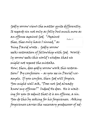Godly sorrow views the matter quite differently. It regards sin not only as folly but much more as an offense against God. "Against thee, thee only have I sinned," as King David wrote . Godly sorrow seeks restoration of fellowship with God. Worldly sorrow seeks this world's wisdom that we might not repeat the mistake. How, then, does godly sorrow work this restoration? By confession – as you see in David's example. If you confess, then God will forgive. You might well ask, "Does not God already know my offense?" Indeed He does. He is waiting for you to admit that it is an offense, a sin. You do this by asking for his forgiveness. Asking forgiveness carries the necessary predecessor of ad-*Psalm 51*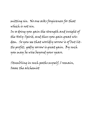mitting sin. No one asks forgiveness for that which is not sin.

In so doing you gain the strength and insight of the Holy Spirit, and thus you gain great wisdom. So you see that worldly sorrow is of but little profit; godly sorrow is great gain. By such you may be wise beyond your years.

Stumbling in such paths myself, I remain, Isaac the alchemist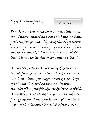*Knowledge vs. Truth* 

Thank you very much for your new style in letters. I must admit that your thinking machine produces fine penmanship, and the larger letters are most pleasant to my aging eyes. As my honored father put it, "It is no disgrace to grow old. But it is not particularly convenient either."

You greatly esteem the learning of your time. Indeed, from your description, it is of great concern to you that you acquire some specific type of this learning, so that you may be well thought of by your friends. No doubt some of this is necessary. But would you permit an old man four questions about your learning? By which you might distinguish knowledge from truth?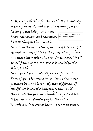First, is it profitable for the soul? My knowledge of things agricultural is most necessary for the

feeding of my belly. One must know the seasons and the times.

*Isaac is probably referring to the Day of Judgment* 

But on the day this will all turn to nothing. So therefore it is of little profit eternally. But if I take the fruits of my labors and share them with the poor, I will hear, "Well done," from my Master. One is knowledge; the other, truth.

Next, does it tend towards peace or faction? Those of great learning in our time take much pleasure in what is termed learned debate. If one did not know the language, one would think two children were squabbling over a toy. If the learning divides people, then it is knowledge. If it brings them together in peace,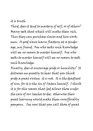## it is truth.

Third, does it tend to mastery of self, or of others? Many seek that which will make them rich. Thus they can purchase slaves and hire workmen. A good slave learns flattery at a tender age, my friend. One who seeks such knowledge will see no reason to master himself. One who seeks to master himself will see no reason to seek such knowledge.

Finally, does it encourage pride or humility? It distresses me greatly to hear that you think pride a great virtue; it is not. It is the deadliest of sins, for it is the sin of Satan himself. I think it is for this reason that God allows those under the care of our leeches to die; otherwise their great learning would make them insufferably pompous. See now that you call those of great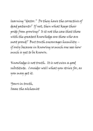learning "doctor." Do they have the corrective of dead patients? If not, then what keeps their pride from growing? Is it not the case that those with the greatest knowledge are those who are most proud? But truth encourages humility – if only because in knowing so much one sees how much is yet to be known.

Knowledge is not truth. It is not even a good substitute. Consider well what you strive for, as you may get it.

Yours in truth, Isaac the alchemist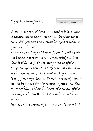*On long winded preaching* 

So your bishop is of long wind and of little sense. It amuses me to hear you complain of his repetition; did you not know that he repeats because you do not hear?

The man must repeat himself; most of what we need to hear is reminder, not new wisdom. Consider it this way: do you not partake of the Lord's Supper each week? You do not complain of the repetition of that, and with good reason. It is of first importance. Therefore it needs repetition to be placed firmly between your ears. The center of the worship is Christ; the center of the memory is the Cross; the two combine in Communion.

Now if this be repeated, can you fault your bish-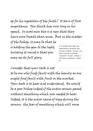op for his repetition of the faith? It too is of first importance. You think him over long in his speech. In most men this is a sign that they have more breath than sense. But in the matter of the bishop, it may be that he is holding the gem to the light, twisting it round so that you may see its full glory. *It is unlikely that Isaac ever experienced a preacher who was not a bishop. As such, this word could be translated "preacher" as well. Bishop is the literal translation, however.* 

Consider that your task is not to be one who finds fault with the homily as one might find fault with fruit in the market. Your task is to hear and understand. He would be a poor bishop indeed if the entire sermon passed without something which you needed to hear. Indeed, it is the major cause of sleep during the sermon: the fear of something which will rouse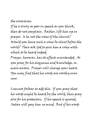## the conscience.

If he is truly as poor in speech as you think, then do not complain. Rather, lift him up in prayer. Is he not the voice of the church? Would you have such a voice be silent before the world? Then ask God to give him a voice with which to be heard indeed. Prayer, however, has its effects unintended. As you pray for his eloquence and knowledge, remain aware. Prayer will change your heart.

You may find that his words are worthy even now.

I cannot forbear to add this. If you pray that his words might be heard by the world, then pray also for his protection. If his speech is ignored, Satan will pay him no mind. But if his words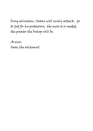bring salvation, Satan will surely attack. Go to God for his protection; the more it is needed, the greater the bishop will be.

As ever, Isaac the alchemist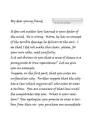*On the Sense of Shame* 

It does not matter how learned is your doctor of the mind. He is wrong. Worse, he has no concept of the terrible damage he delivers to the soul. I see that I did not make this clear; please, for your own sake, read carefully. Is it not obvious to you that a sense of shame is a prerequisite to true repentance? Let me give you an example.

Suppose, on the first part, that you enter an unfamiliar city. Further suppose that the city has a law which requires all who enter to wear a turban. You are unaware of that law until the magistrates stop you. What is your reaction? You apologize; you promise to wear a turban from then on; you purchase one immediate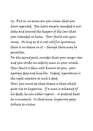ly. But in no sense can you claim that you have repented. You have simply remedied a mistake and assured the keepers of the law that you intended no harm. Your fault was ignorance. As long as it is not willful ignorance, there is no shame in it – though there may be penalties.

For the second part, consider that your anger rises and you strike an elderly man in your wrath. Your fault is then well known to you; your apology deep and humble. Indeed, repentance is the right reaction to such a deed. Now, you must see that shame is that which gives rise to hypocrisy. If a man is ashamed of

his deeds, he can either repent – or pretend that he is innocent. In that sense, hypocrisy pays tribute to virtue.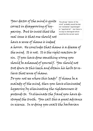Your doctor of the mind is quite correct in disapproving of hypocrisy. But to insist that the real issue is that one should not

*The phrase "doctor of the mind" probably would be better translated "psychologist" or "psychiatrist" - but there is no way to distinguish which would be the correct word.* 

have a sense of shame is indeed a horror. He concludes that shame is a disease of the mind. It is not. It is the right reaction to sin. If you have done something wrong you should be ashamed of yourself. You should not trot down to this leech and obtain his herbs to relieve that sense of shame.

Do you not see where this leads? If shame be a malady of the mind, then you have eliminated hypocrisy by eliminating the righteousness it pretends to. To eliminate the fraud you have destroyed the truth. You call this a great advance in science. In so doing you exalt the barbarian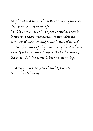as if he were a hero. The destruction of your civilization cannot be far off. I put it to you: if this be your thought, then is it not true that your heroes are not noble men, but men of violence and anger? Men of no self control, but only of physical strength? Barbarians! It is bad enough to have the barbarian at the gate. It is far worse to become one inside.

Greatly grieved at your thought, I remain Isaac the alchemist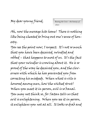*Bearing the Cross—the honesty of others* 

Ah, now the message hits home! There is nothing like being cheated to bring out one's sense of honesty.

You see the point now, I suspect. It's not so much that you have been deceived, swindled and robbed – that happens to most of us. It's the fact that your swindler is crowing about it. He is so proud of the way he deceived you, and the cleverness with which he has prevented you from correcting his misdeeds. When what is vile is honored among men, how the wicked strut! When you meet it in person, evil is so banal. You may not think so, for Satan tells us that evil is enlightening. When you see it in person, it enlightens you not at all. It looks so drab and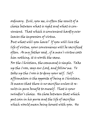ordinary. Evil, you see, is often the result of a choice between what is right and what is convenient. That which is convenient hardly ever leaves the impression of virtue.

But what will you have? If you will live the life of virtue, your convenience will be sacrificed often. As my father said , if a man's virtue costs him nothing, it is worth the same.

For the Christian, the command is simple. Take up the Cross, says our Lord, and follow me. To take up the Cross is to deny your self. Selfaffirmation is the opposite of being a Christian. It means that there is no sacrifice unless it results in pure benefit to oneself. That is your swindler's choice. He chose between that which put coin in his purse and the life of sacrifice which would mean being honest with you. He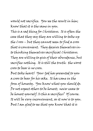would not sacrifice. You see the result in him; know that it is the same in you.

This is a sad thing for Christians. It is often the case that they say they are willing to take up the Cross – but they cannot seem to find a cross that is convenient. They deceive themselves into thinking themselves sacrificial Christians. They are willing to give of their abundance, but sacrifice nothing. It is still the truth: the worst cross to bear is no cross.

But take heart! Your God has presented to you a cross to bear for his sake. It has come in the form of honesty. You know what you should do. Do not expect others to be honest; never cease to be honest yourself. Is this a sacrifice? Of course. It will be very inconvenient, as it now is to you. But I am glad to see that you know that it is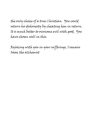the only choice of a true Christian. You could return his dishonesty by cheating him in return. It is much better to overcome evil with good. You have chosen well in this.

Rejoicing with you in your sufferings, I remain Isaac the alchemist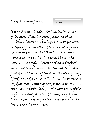It is good of you to ask. My health, in general, is quite good. There is a goodly amount of pain in my bones, however, which does seem to get worse in time of foul weather. Pain is now my companion in this life. I will not drink enough wine to remove it, for that would be drunkenness. I must confess, however, that a draft of wine now and then does ease the matter. I am fond of it at the end of the day. It aids my sleep, I find, and adds to warmth. Since the passing of my dear Mary Ann my body is not so warm as it once was. Particularly in the late hours of the night, cold and pain are often my companions. Many a morning my son's wife finds me by the fire, especially in winter.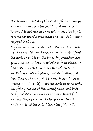It is summer now, and I have a different remedy. The early hours are the best for fishing, as all know. I do not fish as those who must live by it, but rather use the pole than the net. It is a most enjoyable thing.

My eyes see none too well at distance. But close up they are still working, and so I can still find the hook to put it on the line. My grandson has given me many hooks with the lure in place. It has taken much time to master which lure works best in which place, and with what fish. But that is the way of old men. When I was a young man I would insert the hook in some pork. Only the greediest of fish would take such bait. As I grew older I learned to net some small fish and use them to snare the large ones. Now I have mastered the art. I tease the fish with a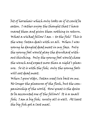bit of horsehair which only looks as if it could be eaten. I rather enjoy the thought that I have snared them and given them nothing in return. What a wicked fellow I am – to the fish! This is the way Satan deals with us all. When I was young he dangled dead meat in my face. Only the young fool would play the drunkard without thinking. Only the young fool would chase the wench and expect more than a night's pleasure. So it is with the fish; only the young fools will eat dead meat.

When I grew older, Satan used live bait on me. No longer the pleasures of the flesh, but the companionship of the world. How great is the desire to be accounted one of the fellows! It is a small fish; I am a big fish; surely all is well. At least the big fish got a last meal.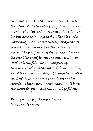But now there is no last meal. I am Satan to these fish! As Satan wants to give me pride and nothing of value, so I snare these fish with nothing but horsehair and a hook. I float it on the water and pull on it erratically. It appears to be a delicacy; an insect on the surface of the water. The poor fish must decide; shall I make the great leap and devour the unsuspecting insect? It is the fish who is unsuspecting! Now you see why Satan hates fishermen – they know too much of his ways! Perhaps this is why our Lord chose so many of them to become his Apostles. I know not. I know that I shall bury this letter for you – and then I will go fishing.

Hoping you enjoy the same, I remain Isaac the alchemist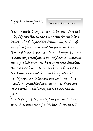*How strength is shown in gentleness* 

It was a modest day's catch, to be sure. But as I said, I do not fish as those who fish for their livelihood. The fish provided dinner; my son's wife and their family enjoyed the meal with me. It is good to have grandchildren. I suspect this is because my grandchildren and I have a common enemy: their parents. But upon examination, there is much more to the matter. I find myself teaching my grandchildren things which I would never have taught my children – but which my grandfather taught me. There are some virtues which only an old man can impart.

I have very little time left in this world, I suppose. So it may seem foolish that I live as if I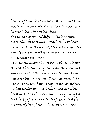had all of time. But consider: should I not have mastered life by now? And if I have, what difference is there in another day?

So I teach my grandchildren. Their parents teach them to do things; I teach them to have patience. More than that, I teach them gentleness. It is a virtue which ornaments a woman and strengthens a man.

Consider the matter in your own time. Is it not the case that the truly strong are the only ones who can deal with others in gentleness? Those who hope they are strong; those who want to be strong; those who know they are not strong but wish to deceive you – all these must act with harshness. But the man who is truly strong has the liberty of being gentle. No father would be accounted strong because he struck his infant.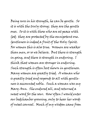Being sure in his strength, he can be gentle. So it is with the truly strong; they are the gentle ones. So it is with those who are at peace with God; they are protected by the omnipotent one. Gentleness is indeed a fruit of the Holy Spirit. For women this is also true. Women are weaker than men, or so we believe. But there is strength in going, and there is strength in enduring. I think that women are stronger in enduring. Such strength is often best shown in gentleness. Many women are greatly tried. A woman who is greatly tried and responds to all with gentleness is accounted noble. Such a woman was my Mary Ann. She endured all, and returned a sweet word for the sour. How often I would enter our bedchamber grousing, only to hear her words of sweet counsel. Much of my wisdom came from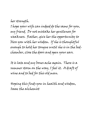her strength. I hope your wife can indeed do the same for you, my friend. Do not mistake her gentleness for weakness. Rather, give her the opportunity to bless you with her wisdom. If she is thoughtful enough to hold her tongue until she is in the bedchamber, close the doors and open your ears.

It is late and my bones ache again. There is a summer storm on the way, I feel it. A draft of wine and to bed for this old man.

Hoping this finds you in health and wisdom, Isaac the alchemist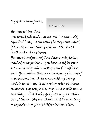*On Being an Old Man* 

How surprising that you would ask such a question! "What is old age like?" My Latin would be eloquent indeed if I could answer that question well. But I shall make the attempt.

You must understand that I have only lately reached that position. You become old in your own mind only when most of your friends have died. You realize that you are among the last of your generation. So in a sense old age brings with it loneliness. It also brings with it a sense that only my body is old. My mind is still young and sharp. This is why God gives us grandchildren, I think. My sons think that I am no longer capable; my grandchildren know better.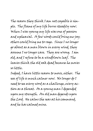The reason they think I am not capable is simple. The flame of my life burns steadily now. When I was young my life was one of passion and upheaval. A few words could bring me joy; others could bring me to rage. Since I no longer go about as a man blown in every wind, they assume I no longer care. They are wrong. I am old, and I refuse to be a windblown leaf. The leaves think the old oak dead because he moves so little.

Indeed, I have little reason to move, either. The sea of life is much calmer now. No longer do I need to see every word as a challenge, every action as a threat. As a young man I depended upon my strength. An old man depends upon the Lord. He calms the seas at his command, and he has calmed mine.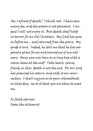Am I afraid of death? I think not. I have seen many die, and the process is not pleasant. I suspect I will not enjoy it. But death itself holds no terrors for an old Christian. My Lord has gone on before me – and returned from the grave. My guide is sure. Indeed, he tells me that he has prepared a place for me and assured me of my welcome. Have you ever been on a long trip with a warm home at the end? Take heart, young friend, in this: death is not the end. For our Lord has promised his return, and with it our resurrection. I shall inquire as to your whereabouts on that day; see to it that you are there to meet me.

In faith eternal, Isaac the alchemist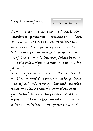*A New Father—and Grandparents* 

So, your bride is to present you with child! My heartiest congratulations; welcome to manhood. You will permit me, I am sure, to indulge you with some advice from an old man. I shall not tell you how to raise your child, as you know not if it be boy or girl. But may I place in your mind the value of your parents, and your wife's parents?

A child's life is not a secure one. Think what it must be, surrounded by people much larger than yourself, all with strong opinions and some with the quite evident desire to enforce them upon you. In such a time a child must crave a sense of position. The sense that one belongs to an orderly society, fitting in one's proper place, is of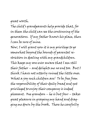great worth. The child's grandparents help provide that, for in them the child can see the continuing of the generations. If my father knows his place, then I can be sure of mine.

Now, I will grant you it is my privilege to go somewhat beyond the bounds of parental restriction in dealing with my grandchildren. This keeps my sons ever aware that I am still their father – and delights me no end too. But I think I have not utterly ruined the little ones. What a joy such children are! To be free from the responsibility of their daily bread and yet privileged to enjoy their company is indeed pleasant. One grandson – he is but four – takes great pleasure in grasping my hand and dragging me down by the brook. There he carefully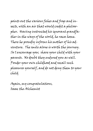points out the various fishes and frogs and insects, with an air that would credit a philosopher. Having instructed his ignorant grandfather in the ways of the world, he races home. There he proudly informs his mother of his adventure. The smile alone is worth the journey. So I encourage you; share your child with your parents. No doubt they endured you as well. Ponder your own childhood and recall such pleasures yourself, and do not deny them to your child.

Again, my congratulations, Isaac the Alchemist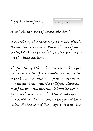*On Raising Children* 

A son! My heartiest of congratulations!

It is, perhaps, a bit early to speak to you of such things. But as one never knows the day of one's death, I shall venture a bit of instruction on the art of raising children.

The first thing is this: children must be brought under authority. You are under the authority of the Lord; your wife is under your authority, and she must then rule the children. Never accept from your children the slightest lack of respect for their mother! She is the woman you love as well as the one who bore the pain of their birth. She has earned their respect; it is her due.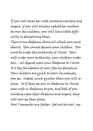If you will treat her with constant courtesy and respect, if you will always uphold her authority over the children, you will have little difficulty in disciplining them.

There is one obedience above all which you must observe. You cannot deceive your children. You must be under the authority of Christ. Your wife under your authority, your children under hers – all depend upon your obedience to Christ. It is the foundation of your family discipline. Your children are quick to learn by example, you see. Indeed, much quicker than you will realize. So if they see you in obedience to Christ; your wife in obedience to you, and both of you insisting upon their obedience and respect, they will soon see their place. How I remember my father, God rest his soul, up-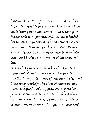holding that! No offense could be greater than to fail to respect to my mother. I never recall her disciplining us as children for such a thing; my father took it as personal offense. He defended her honor, her dignity and her authority on every occasion. Knowing no better, I did likewise. The results have been most satisfactory in both cases, and I believe my sons are of the same opinion.

In all this you must remember the Apostle's command: do not provoke your children to wrath. In my later years of childhood I often (it is the way of wisdom for those of thirteen summers) disagreed with my parents. My father permitted this – as long as all the forms of respect were observed. He, of course, had the final decision. Often enough, though, my whim and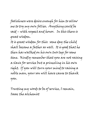foolishness were desire enough for him to allow me to try my own follies. Anything could be said – with respect and honor. In this there is great wisdom.

It is great wisdom for this: some day the child shall become a father as well. It is good that he then has walked on his own two legs for some time. Kindly remember that you are not raising a slave for service but a princeling in his own right. If you will turn your mind to raising a noble man, your son will have cause to thank you.

Trusting my words to be of service, I remain, Isaac the alchemist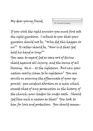*On National Calamity* 

If you wish the right answers you must first ask the right questions. I submit to you that your question should not be, "Why did this happen to us?" It rather should be, "How is it that God held his hand so long?" You seem to regard God as some sort of divine shield against all injury, and the source of all blessing. He is – to the righteous. But can your nation really claim to be righteous? You are servile in assuring the effeminate of your approval; you conduct abortion on a scale which exceeds that of any persecution in the history of the church; your leaders lie under oath. Should God bless such a nation as that? You look to him for love and protection. You should remem-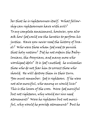ber that he is righteousness itself. What fellowship can righteousness have with evil? To my complete amazement, however, you also ask how God could use the heretics to perform his justice. Have you never read the history of Israel? Who were those whom God used to punish that holy nation? Did he not ordain the Babylonians, the Assyrians, and many more who worshiped idols? It is God's method; he unleashes those who do not fear him to correct those who should. He will destroy them in their turn. You must remember: God is righteous. If he were not also merciful, who among us would live? This is the lesson of the cross. Were God merciful but not righteous, why would our sins need atonement? Were he righteous but not merciful, why would he provide atonement? But he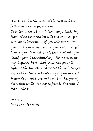is both, and by the power of the cross we have both mercy and righteousness.

Do listen to an old man's fears, my friend. My fear is that your nation will rise up in anger, but not righteousness. If you will not confess your sins, you must trust in your own strength to save you. If you do that, then how will you stand against the Almighty? Your power, you say, is great. But what power can prevail against the One who created all things? Do you not see that this is a hardening of your hearts? Whom God would destroy he first makes proud. Seek Him while He may be found. The time, I fear, is short.

As ever, Isaac the alchemist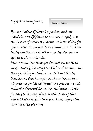*On Innocent Suffering* 

You now ask a different question, and one which is more difficult to answer. Indeed, I see the justice of your complaint. It is one thing for your nation to confess its national sins. It is entirely another to ask why a particular person died in such an attack.

Please remember that God does not see death as we do. Indeed, his ways are higher than ours; his thought is higher than ours. Is it not likely that he sees death simply as the entrance into his presence for his children? We grieve; he welcomes the departed home. For this reason I look forward to the day of my death. Most of those whom I love are gone from me; I anticipate the reunion with pleasure.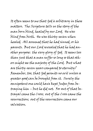It often seems to me that God is arbitrary in these matters. The Scripture tells us the story of the man born blind, healed by our Lord. He was blind from birth. He was thirty-seven when healed. All assumed that he had sinned, or his parents. But our Lord revealed that he had another purpose: the very glory of God. It seems less than just that a man suffer so long so that others might see the majesty of the Lord. But what are thirty-seven years compared to eternity? Remember, too, that God permits no evil unless a greater good can be brought from it. Surely the omnipotent one could have kept Judas from betraying him – but he did not. For out of that betrayal came the Cross; out of the Cross came the resurrection; out of the resurrection came our salvation.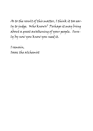As to the result of this matter, I think it too early to judge. Who knows? Perhaps it may bring about a great awakening of your people. Surely by now you know you need it.

I remain, Isaac the alchemist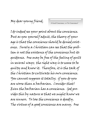*A Good Conscience, or No Conscience?* 

I do indeed see your point about the conscience. But as you yourself admit, the theory of your age is that the conscience should be denied existence. Surely a Christian can see that the problem is not the existence of the conscience but its guidance. One may be free of the feeling of guilt in several ways; the right way is to cease to be guilty and know it. Therefore, it is the task of the Christian to cultivate his own conscience. You cannot suppress it totally; if you do you are worse than a barbarian. Consider that! Even the barbarian has a conscience. God provides this by nature so that we might know we are sinners. To lose the conscience is deadly. The virtues of a good conscience are many. One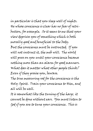in particular is that you sleep well of nights. He whose conscience is clear has no fear of retribution, for example. So it seems to me that your view deprives you of something which is both morally good and beneficial to the body. But the conscience must be instructed. If you will not instruct it, the mob will. The world will press on you until your conscience becomes nothing more than an alarm for good manners. What does it matter what other people think? Even if they praise you, beware. The true measuring rod for the conscience is the Holy Spirit. Train your conscience to Him, and all will be well.

It is somewhat like the tuning of the harp; it cannot be done without ears. You must listen to God if you are to tune your conscience. This is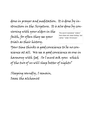done in prayer and meditation. It is done by instruction in the Scripture. It is also done by con-

versing with your elders in the faith, for often they see your trials as their history.

*The word translated "elders" here does not mean bishop, but rather "older Christians".* 

Your time thinks a good conscience to be no conscience at all. We see a good conscience as one in harmony with God. So I must ask you: which of the two of us will sleep better of nights?

Sleeping soundly, I remain, Isaac the alchemist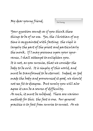Your question sounds as if you think these things to be of no use. Yes, the Christian of my time is acquainted with fasting; the vigil is largely the part of the priest and particularly the monk. If I may presume upon your ignorance, I shall attempt to enlighten you. It is not, as you surmise, that we consider the body to be evil. It is simply of this world, and must be transformed to be eternal. Indeed, as God made the body and pronounced it good, we should not see fit to disagree. But surely you will also agree it can be a source of difficulty. As such, it must be subdued. There are various methods for this; the fast is one. Our general practice is to fast from sunrise to sunset. As we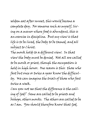seldom eat after sunset, this would become a complete day. For someone such as myself, living on a manor where food is abundant, this is an exercise in discipline. But my view is that life is to be lived, the body to be tamed, and all subject to Christ.

The monk holds to a different view. In that view the body must be denied. Not all are called to be monk or priest, though the occupation is held in high honor. One reason is this: those who fast but once or twice a year know the difficulty. We can imagine the trials of those who fast twice a week.

Can you not see that the difference is the calling of God? Some are called to be priests and bishops, others monks. The others are called to be as I am. You should therefore know that God,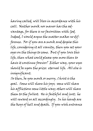having called, will bless in accordance with his call. Neither monk nor manor has the advantage, for there is no favoritism with God. Indeed, I would argue the matter makes no difference. For if you are a monk and despise this life, considering it all vanity, then you set your eyes on the things to come. But if you love this life, then what could please you more than to have it continue forever? Either way, your eyes should be upon the prize: eternal life. All else is insignificant.

So then, be you monk or merry, Christ is the goal. Some will share his joys; some will share his afflictions some little way; others will share them to the fullest. He is faithful and just; he will reward us all accordingly. In his hands are the keys of hell and death. If you wish entrance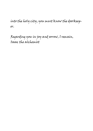into the holy city, you must know the doorkeeper.

Regarding you in joy and sorrow, I remain, Isaac the alchemist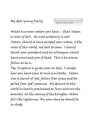*Satan, the ruler of hell?* 

What a curious notion you have – that Satan is ruler of hell. He most certainly is not! Satan, should it have escaped your notice, is the ruler of this world, not hell to come. I should think your president and his colleagues would have convinced you of that. This is his arena, fallen as he is.

The Scripture is quite clear on this; I wonder how you have come to such a mistake. Satan was a cherub of God, fallen from grace and dispelled from God's presence. His descent to this world is clearly proclaimed as Jesus sent out the seventy; at the coming of the kingdom Satan fell like lightning. By your time he should be in stride.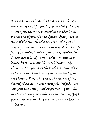It amuses me to hear that Satan and his demons do not exist for most of your world. Let me assure you, they are everywhere evident here. We see the effects of these demons daily; we see those of the church who are given the gift of casting them out. I can see how it would be difficult to understand in your time; evidently Satan has settled upon a policy of sinister silence. But we know him well, be assured. There is little profit to those who inquire of his nature. Two things, and two things only, you need know. First, that he is the father of lies. Second, that he is very powerful. Indeed, were not your heavenly Father protecting you, he would certainly overwhelm you. But by God's grace greater is he that is in us than he that is in the world.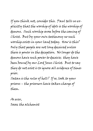If you think not, consider this. Paul tells us explicitly that the worship of idols is the worship of demons. Such worship arose before the coming of Christ. But by your own testimony no such worship exists in your land today. How is this? Only that people are not long deceived unless there is power in the deception. No longer do the demons have such power to deceive; they have been bound by our Lord Jesus Christ. But to say they do not exist is to ignore all evidence of times prior.

Satan is the ruler of hell? If so, look to your prisons – the prisoners have taken charge of them.

As ever, Isaac the alchemist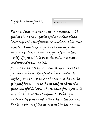*On True Wealth* 

Perhaps I misunderstand your meaning, but I gather that the vagaries of the market place have reduced your fortune somewhat. This seems a bitter thing to you; perhaps your hope was misplaced. Such things happen often in this world. If you wish to be truly rich, you must understand true wealth.

Permit me an example. Suppose you set out to purchase a horse. You find a horse trader. He displays one to you in fine harness, decked with gold and jewels. He talks on and on about the greatness of this horse. If you are a fool, you will buy the horse without riding it. What you have really purchased is the gold in the harness. The true virtue of the horse is not in the harness.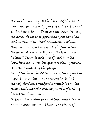It is in the running. Is the horse swift? Can it run great distances? If you put it to cart, can it pull a heavy load? These are the true virtues of the horse. So let us suppose that your horse has such virtue. Now, further imagine with me that someone comes and steals the finery from the horse. Are you really any the less in your fortune? I submit not; you did not buy the horse for a show. You bought it to ride. Your loss is in the trivial and the gaudy. But if the horse should turn lame, then your loss is great – even though the finery be still attached. So then, consider the principle thusly: that which mars the primary virtue of a thing

harms the thing indeed.

So then, if you wish to know that which truly harms a man, you must know the virtue of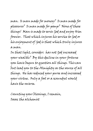man. Is man made for money? Is man made for pleasure? Is man made for pomp? None of these things! Man is made to serve God and enjoy Him forever. That which injures his service to God or his enjoyment of God is that which truly injures a man.

In that light, consider: has not God increased your wealth? By this decline in your fortune you have begun to question all things. This can but lead you to the Almighty as the source of all things. He has reduced your purse and increased your virtue. Only a fool or a scoundrel would have the reverse.

Counting your blessings, I remain, Isaac the alchemist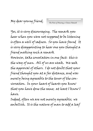*The Pain of Hearing a Chance Remark* 

Yes, it is very discouraging. The remark you hear when you were not supposed to be listening is often a well of sadness. So you have found It is very disappointing to hear one you thought a friend making such a remark However, take consolation in one fact: this is the way of men. All of us are weak. We seek the approval of others. I do not doubt that your friend thought you at a far distance, and was merely being agreeable to the tenor of the conversation. In your heart of hearts you know that you have done the same; at least I know I have.

Indeed, often we are not merely agreeable; we embellish. It is the nature of man to add a leaf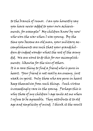to the branch of rumor. Can you honestly say you have never added to your own achievements, for example? My children know by now who won the war when I was young. By the time you become an old man, your military accomplishments are such that your grandchildren do indeed wonder what the rest of the army did. We are wont to do this for our accomplishments; likewise for the sins of others. It is a rare thing to find a friend who is pure in heart. Your friend is not really an enemy, just weak in spirit. Only those who are pure in heart keep themselves from such things. Such virtue is exceedingly rare in the young. Perhaps this is why those of my children's age smile at me when I refuse to be agreeable. They attribute it to old age and simplicity of mind; I think it the result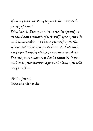of an old man working to please his Lord with purity of heart.

Take heart. Does your virtue really depend upon the chance remark of a friend? If so, your life will be miserable. To value yourself upon the opinions of others is a grave error. But we each need something by which to measure ourselves. The only sure measure is Christ himself. If you will seek your Master's approval alone, you will need no other.

Still a friend, Isaac the alchemist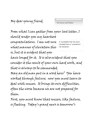My dear young friend,

*On Success and Failure* 

From what I can gather from your last letter, I should render you my heartiest congratulations. I am not sure what manner of elevation this *It is probable that the word intended here is "promotion", not elevation.* 

is, but it is evident that you have longed for it. It is also evident that you consider it the result of your own hard work, and that is always to be commended.

May an old man put in a word here? You have worked through failure; now you must learn to deal with success. It brings its own difficulties, often the worse because we are not prepared for them.

First, you must know that success, like failure, is fleeting. Today's grand news is tomorrow's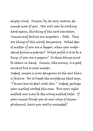empty wind. Success, by its very nature, demands more of you. You will soon be working hard again, thinking of the next elevation. Success and failure are imposters – both. They are things of this world; temporary. What does it matter if you are a beggar, when you understand divine mysteries? What profit is it to be a king, if you are a pagan? So these things must be taken in hand. Success, like money, is a good servant but a cruel master.

Indeed, success is more dangerous to the soul than is failure. For it breeds the confidence that says, "I know how to deal with this." Indeed, perhaps your method worked this once. But your right method now may be the wrong method later. If your success blinds you to new ways of accomplishment, have you really succeeded?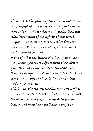There is also the danger of the closed mind.  $\,$  Hav-  $\,$ ing triumphed, you may conclude you have no more to learn. No scholar would make that mistake, but a man of the affairs of this world might. To cease to learn is to wither from the neck up. (When you get older, this is cured by having grandchildren.)

Worst of all is the danger of pride. Your success may cause you to look down upon those about you. You may conclude, like the gladiator, that the vanquished do not deserve to live. Thus does pride corrupt the heart; I have seen this with my own eyes.

This is why the church teaches the virtue of humility. Humility teaches that only God knows the way which is perfect. Humility teaches that one always has something of profit to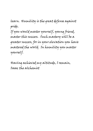learn. Humility is the great defense against pride.

If you would master yourself, young friend, master this success. Such mastery will be a greater success, for in your elevation you have mastered the world. In humility you master yourself.

Having achieved my altitude, I remain, Isaac the alchemist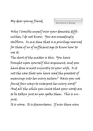*Reconciliation in Marriage* 

Why I trouble myself over your domestic difficulties, I do not know. You are exceedingly stubborn. In my time that is a privilege reserved for those of us of sufficient age to know how to use it.

The short of the matter is this. You have brought upon yourself this argument, and you have done so most unjustly to your wife. Is it not the case that you have read the greatest of meanings into her every action? Have you not found four ways to interpret her every word? And all the while you insist that your words are to be taken just as you spoke them. This is unjust.

It is worse. It is discourteous. If ever there were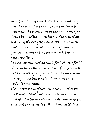words for a young man's education in marriage, here they are: You cannot be too courteous to your wife. At every turn in the argument you should be as polite as you know. She will thus be assured of your good intentions. I believe by now she has discovered your lack of sense. If your head is vacant, at minimum let your heart overflow.

Do you not realize that she is flesh of your flesh? She is in submission to you. Therefore you must put her needs before your own. It is your responsibility to end this matter. You must end it with all graciousness.

The matter is one of reconciliation. In this you must understand how reconciliation is accomplished. It is the one who reconciles who pays the price, not the reconciled. You think not? Con-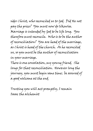sider Christ, who reconciled us to God. Did He not pay the price? You must now do likewise. Marriage is intended by God to be life long. You therefore must reconcile. Who is to be the author of reconciliation? You are head of the marriage, as Christ is head of the church. As he reconciled us, so you must be the author of reconciliation in your marriage.

There is one consolation, my young friend. She longs for that reconciliation. However long the journey, you must begin some time; be assured of a good welcome at the end.

Trusting you will act promptly, I remain Isaac the alchemist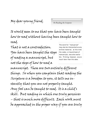My dear young friend,

*On Reading the Scripture* 

It would seem to me that you have been taught how to read without having been taught how to read.

That is not a contradiction. You have been taught the steps of reading a manuscript, but not the steps of how to read a

*The word for "manuscript" may also be interpreted as any written material; at this time the codex, or bound book of manuscripts, was also available. Printing, however, occurs much later than this date.* 

manuscript. These are two entirely different things. So when you complain that reading the Scripture is a boredom to you, it tells me instantly that you are not properly taught. Any fool can be taught to read. It is a child's skill. But reading in which one truly perceives – that is much more difficult. Each work must be approached in the proper way if you are truly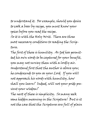to understand it. For example, should you desire to cook a boar by recipe, you must know your spices before you read the recipe. So it is with the Holy Writ. There are three most necessary conditions to reading the Scripture.

The first of these is humility. As God has permitted his own words to be captured for your benefit, you may not survey them with a lordly air. Understand first that the author is above you; he condescends to you as your Lord. If you will not approach his words with humility, how shall you learn? Indeed, will not your pride prevent your wisdom?

The next of these is simplicity. So many seek some hidden meaning in the Scripture! But is it not the case that the Scriptures are full of plain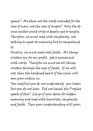speech? Are these not the words intended for the race of man, not the race of angels? Only the divine author could write so deeply yet so simply. Therefore, we must read with simplicity, not seeking to upset its meaning but to comprehend it.

Finally, we must read with faith. All things written are for our profit. God is economical with words. Therefore we must see all things written through the eyes of faith. If we will not, then the hardened heart of the cynic will soon grow within us.

You read but you do not understand; you listen but you do not hear. Did not Isaiah the Prophet speak of this? Let go of your desire for hidden meaning and read with humility, simplicity and faith. Then your understanding will grow,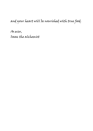and your heart will be nourished with true food.

As ever, Isaac the alchemist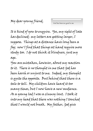*God has been too good to me* 

It is kind of you to enquire. Yes, my sight of late has declined; my letters are getting larger, I suppose. Things at a distance have long been a fog; now I find that things at hand require more study too. I do not think it blindness, just my age.

You are mistaken, however, about my reaction to it. There is no thought in me that God has been harsh or unjust to me. Indeed, my thought is quite the opposite. But behind that there is a tale to tell. My children have heard it too many times, but I now have a new audience. As a young lad I was a clumsy lout. I took it into my head that there was nothing I touched that I would not break. My father, God give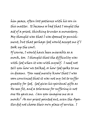him peace, often lost patience with his son in this matter. It became so bad that I sought the aid of a priest, thinking to enter a monastery. My thought was that I was doomed to punishment, but that perhaps God would accept me if I took up the cowl.

Of course, I would have been miserable as a monk, too. I thought that the difficulty was with God when it was with myself. I need not tell you how we talked, or how God spoke to me in dreams. You need merely know that I was soon convinced that it was not my lot to suffer greatly for God. God gives his spiritual gifts as He sees fit, and a tolerance for suffering is not one He gave me. Can you imagine me as a monk? As our priest pointed out, even the Apostles did not choose their own place of service. I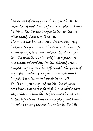had visions of doing great things for Christ. It seems Christ had visions of me doing plain things for Him. The Divine Carpenter knows the tools of his hand. I am a dull chisel.

The result has been almost embarrassing. God has been too good to me. I have received long life, a loving wife, fine sons and beautiful daughters, the wealth of this world in good measure and many other things beside. Should I then complain of my trivial sufferings? The decay of my sight is nothing compared to my blessings. Indeed, it is a lesson in humility as well. To all this you may add the blessing of peace. For I know my Lord is faithful, and at the last day I shall see him face to face—with clear eyes. In this life we see things as in a play, not knowing what ending the Author intends. But He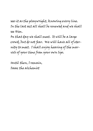sees it as the playwright, knowing every line. In the last act all shall be renewed and we shall see Him.

On that day we shall meet. It will be a large crowd, but do not fear. We will have all of eternity to meet. I shall enjoy hearing of the marvels of your time from your own lips.

Until then, I remain, Isaac the alchemist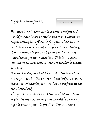*Giving Anonymously* 

You must maintain quite a correspondence. I would rather have thought one or two letters in a day would be sufficient for you. That you receive so many is indeed a surprise to me. Indeed, it is a surprise to me that there exist so many who clamor for your charity. This is not good. You must be very well known to receive so many demands.

It is rather different with us. All these matters are regulated by the church. I exclude, of course, those acts of charity a man should perform in his own household.

The great surprise to me is this – that in a time of plenty such as yours there should be so many agents pressing you to provide. I would have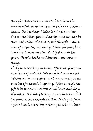thought that our time would have been the more needful, as yours appears to be one of abundance. But perhaps I take too simple a view. The central thought in charity must always be this: God values the heart, not the gift. I am a man of property; a small gift from me may be a large one to someone else. But God knows the giver. He who lacks nothing measures everything.

This you must keep in mind. Often we give from a mixture of motives. We may feel many eyes looking on us as we give; or it may simply be an emotion of warmth in giving. Often enough the gift is in our own interest, or we have some hope of reward. It is hard to keep a pure heart in this. God gives us his example in this. If we give from a pure heart, expecting nothing in return, then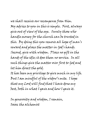we shall receive our recompense from Him. My advice to you in this is simple. First, always give out of view of the eye. Surely those who handle money for the church can be trusted in this. By doing this you remove all hope of man's reward and place the matter in God's hands. Second, give with wisdom. Place no gift in the hands of the idle; it does them no service. In all such things give the matter over first to God and let him direct the gold.

It has been my privilege to give much in my life. But I am mindful of the widow's mite. I hope that my Lord will find that I have done my best, both in what I gave and how I gave it.

In generosity and wisdom, I remain, Isaac the alchemist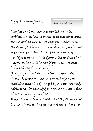*Slaves—wage and otherwise* 

I confess that you have presented me with a problem which has no parallel in my experience. How is it that you do not pay your laborers by the day? Do they not starve waiting for the end of the month? Should that be done here, it would be seen as a sin to deprive the worker of his wages. What will he eat if you will not pay him each day? I give it up.

Your plight, however, is rather common with slaves. It seems you have been robbed and your thinking machine damaged by one you trusted. Robbery can be amended but trust cannot. I fear I have no remedy for that.

What I can give you, I will. I will tell you how to treat slaves so that you do not have this prob-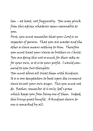lem – at least, not frequently. You may pluck from this advice whatever seems reasonable to you.

First, you must remember that your Lord is no respecter of persons. That you are master and the other a slave means nothing to Him. Therefore you must treat your slaves as brothers in Christ. You are doing this not so much for their sake as for your own, so it is to your profit. I would commend to you two thoughts:

You must above all treat them with kindness. It is a sore temptation to beat upon the innocent slave to cool your own anger. This you must not do. Rather, remember it is only God's grace which keeps you from being one of them. Indeed, this brings great benefit. A kindness shown to one is remarked by all.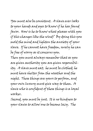You must also be consistent. A slave ever looks to your hands and eyes to know if he has found favor. How is he to know what pleases with you if this changes like the wind? By doing this you mold the mind and lighten the anxiety of your slave. If he cannot have freedom, surely he can be free of worry as it concerns you. Then you must always remember that as you are given authority you are given responsibility. A slave must eat; he must be clothed; he must have shelter from the weather and the night. These things are yours to perform, and your own luxury must give way to them. A slave who is confident of these things is a loyal worker.

Second, you must be just. It is no kindness to your slaves to allow one to become lazy. The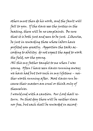others must then do his work, and the fault will fall to you. If the slave sees the justice in the beating, there will be no complaints. Be sure that it is both just and seen to be just. Likewise, be just in rewarding those whose labors have profited you greatly. Apportion the tasks according to ability; do not expect the aged to work the field, nor the young.

All this my father taught to me when I was young. Often I have seen slaves running away; we have had but two such in my lifetime – neither worth running after. Most slaves run because their masters are cruel or think only of themselves.

I would end with a caution. Our Lord shall return. On that day there will be neither slave nor free, but each shall be rewarded in accord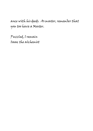ance with his deeds. As master, remember that you too have a Master.

Puzzled, I remain Isaac the alchemist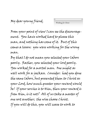*Working for Christ* 

From your point of view I can see the discouragement. You have worked hard to please this man, and nothing has come of it. But of this comes a lesson: you were working for the wrong man.

By that I do not mean you selected your labors poorly. Rather, you selected your lord poorly. You worked for a mortal man. One might as well work for a jackass. Consider: had you done the same labors, but presented them to Christ as your Lord, how much greater your reward would be! If your service is to Him, then your reward is from Him, is it not? All of us take a master of one sort another; the wise choose Christ. If you will do this, you will cease to work to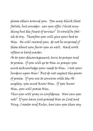please others around you. You may think that foolish, but consider: can you offer Christ anything but the finest of service? It would be foolish to try. Therefore you will give your best to Him. He will reward you; do not be surprised if those about you favor you as well. Hard work softens a hard master.

As to your discouragement, turn to prayer and to praise. If you will go to Him in prayer you must acknowledge your needs to Him. Cast your burdens upon Him! But do not neglect the power of praise. If you are to converse with the Almighty, you must know Him. If you know Him, you will praise Him.

Thus you will pray in confidence. How can you not? If you have just praised Him as Lord and King, Creator and Ruler, how can you then say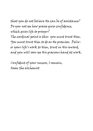that you do not believe He can be of assistance? Do you not see how praise gives confidence, which gives life to prayer? The cardinal point is this: you must trust Him. You must trust Him to do as He promises. Deliver your life's work to Him, trust in His reward, and you will soon see His gracious hand at work.

Confident of your success, I remain, Isaac the alchemist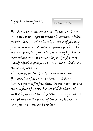*Wandering Mind in Prayer* 

You do me too great an honor. To say that my mind never wanders in prayer is certainly false. Particularly in the church, in time of priestly prayer, my mind wanders in many paths. The explanation, for you as for me, is simply this: a man whose mind is constantly on God does not wander during prayer. A man whose mind is on the world, wanders.

The remedy for this fault is common enough. You must confess this weakness to God, and humble yourself before Him. In your prayers use the simplest of words. Do not think that God is blessed by your wisdom! Rather, in simple words and phrases – the mark of the humble man – bring your praises and petitions.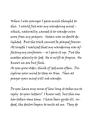When I was younger I gave much thought to this. I would fret over my wandering mind – which, naturally, caused it to wander even more from my prayers. Satan was no doubt delighted. But the trick cannot be played forever. At length I realized that my wandering was affecting my confession – so I gave it up. Put the matter plainly to God; He is swift to forgive. He knows we are but flesh.

As you grow older, think of God more often. Discipline your mind to stay on Him. Then at prayer your mind will not wander.

Do you have any sense of how long it takes me to reply to your letters? I know not; but this one has taken some time. I have been quite ill; indeed, the doctors began to smile at me. They do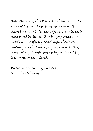that when they think you are about to die. It is assumed to cheer the patient, you know. It cheered me not at all; these doctors lie with their teeth bared in silence. But by God's grace I am mending. One of my grandchildren has been reading from the Psalms, a great comfort. So if I caused worry, I render my apologies. I shall try to stay out of the sickbed.

Weak, but returning, I remain Isaac the alchemist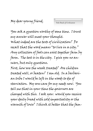*Title Deeds of Civilization* 

You ask a question worthy of some time. I trust my answer will meet your thought. What indeed are the tests of civilization? Do recall that the word means "to live in a city." Any collection of fools can exist together farm by farm. The test is in the city. I give you no answers, but only questions.

First, how are the weak treated? Are children treated well, or beaten? I am old. In a barbarian tribe I would be left in the woods to die of starvation. My sons care for my needs now. You tell me that in your time the governors are charged with this. I ask you: would you receive your daily bread with cold impartiality or the warmth of love? I think it better that the fam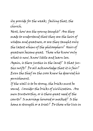ily provide for the weak; failing that, the church.

Next, how are the young taught? Are they made to understand that they are the heirs of wisdom and greatness, or are they taught only the latest whims of the philosophers? Heirs of greatness become great. Those who know only what is new, know little and learn less. Again, is there justice in the land? Is that justice swift? Do all acknowledge that it is fair? Even the thief on the cross knew he deserved his punishment.

If the wall is to be strong, the bricks must be sound. Consider the bricks of civilization. Are men trustworthy, or is there great need of the courts? Is marriage honored or mocked? Is the home a strength or a trial? Do those who live in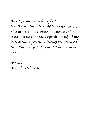the city uphold it or feed off it? Finally, are the rulers held to the standard of high honor, or is corruption a common thing? It seems to me that these questions need asking in any age. Upon them depends your civilization. The strongest weapon will fail in weak hands.

As ever, Isaac the alchemist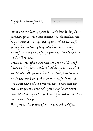*Does virtue come in compartments?* 

Upon the matter of your leader's infidelity I can perhaps give you more comment. He makes the argument, as I understand you, that his infidelity has nothing to do with his leadership. Therefore you can safely ignore it, treating him with all respect.

I think not. If a man cannot govern himself, how can he govern others? Of all people in this world over whom you have control, surely you have the most control over yourself! If you do not even have that control, how then can you claim to govern others? You may have experience at writing out orders, but you have no experience as a leader.

You forget the power of example. All soldiers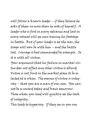will follow a known leader – if they believe he asks of them no more than he asks of himself. A leader who is first in every advance and last in every retreat will see men tracing his footsteps in battle. But if your leader is at the rear, the troops will soon be with him – and the battle lost. Courage is best commanded by example. So it is with all virtue.

Your argument that his failure in marital virtue does not affect any other virtue is absurd. Virtue is not fruit in the market place to be selected at a whim. The essence of virtue is integrity – that you are a man of one-ness. You cannot be a coward today and brave tomorrow. Those whom you lead will quickly see the lack of integrity.

This leads to hypocrisy. If they see in you one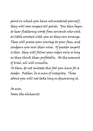point in which you have not mastered yourself, they will soon suspect all points. You then begin to hear flattering words from servants who wish as little contact with you as they can arrange. They will praise your courage to your face, and condemn you over their wine. Of greater import is this: they will follow your orders only so long as they think them profitable. At the moment of trial, all will crumble.

So then, do not imitate this fool you have for a leader. Rather, be a man of integrity. Those about you will not take long in discovering it.

As ever, Isaac the alchemist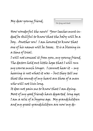*On dying and death* 

How wonderful the news! Your leeches must indeed be skillful to know that the baby will be a boy. Another son! I am honored to know that one of his names will be Isaac. It is a blessing in a time of trial.

I will not conceal it from you, my young friend. The doctors hold out little hope that I will run my course much longer. I cannot hear it – my hearing is not what it was – but they tell me that the sounds of my heart are those of a man who will not live long.

It does not pain me to know that I am dying. Most of my good friends have departed long ago; I am a relic of a bygone age. My grandchildren and my great-grandchildren are now my de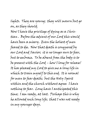lights. They are young; they will mourn but go on, as they should.

Now I have the privilege of dying as a Christian . Before the advent of our Lord this would have been a misery. Even the holiest of men feared to die. Now that death is conquered by our Lord and Savior; it is no longer ours to fear, but to embrace. To be absent from the body is to be present with the Lord – how I long for release! It has pleased my Lord to give me a long life in which to train myself to this end. It is normal for man to fear death; but the Holy Spirit within and the church without agree: I have nothing to fear. Long have I anticipated this time; I am ready, at last. Perhaps this is why he allowed such long life; that I was not ready in my younger days.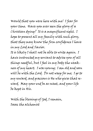Would that you were here with me! I fear for your time. Have you ever seen the glory of a Christian dying? It is a magnificent sight. I hope to present all my family with such glory, that they may know the firm confidence I have in my Lord and Savior.

It is likely I shall not be able to write again. I have instructed my servant to advise you of all things needful, but I feel in my body the weakness of my heart. I was young; I am old and soon will be with the Lord. Do not weep for me; I go to my reward, and gracious is He who gives that reward. May your end be as sweet, and your life be kept in His.

With the blessings of God, I remain, Isaac the alchemist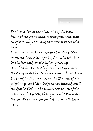*Exuent Omnes* 

To his excellency the alchemist of the lights, friend of the great Isaac, writer from afar, mystic of strange places and utter terror to all who serve,

From your humble and obedient servant, Marmion, faithful attendant of Isaac, he who buries the jars and sees the lights, greeting: Your humble servant begs to present you with the dread news that Isaac has gone to be with his Lord and Savior. He was in the 93rd year of his pilgrimage, and his mind was not dimmed until the day he died. He bade me write to you of the manner of his death, that you might know all things. He charged me most strictly with these words.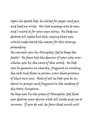Upon his death bed, he called for paper and pen, and had me write. His last message was to you, and I record it for your eyes alone. He bade me destroy all copies but this, saying that you would understand the reason for this strange proceeding.

He counsels you by Almighty God to keep the faith! He fears lest the demons of your city overwhelm you by the cares of this world. He bids you be generous in charity, frequent in visiting the sick and those in prison, even those prisoner of their own sins. Most of all he bids you be instant in prayer and frequent in the reading of the Holy Scripture.

He begs you by the grace of Almighty God that you destroy your device with all haste and use it no more. If you do not, he fears that much evil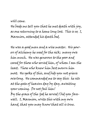## will come. He bade me tell you that he met death with joy, as one returning to a home long lost. This is so; I, Marmion, attended his death bed.

He was a good man and a wise master. His powers of alchemy he used for the sick; many owe him much. He was generous to the poor and cared for those who served him, of whom I am the least. Those who knew him best mourn him most. He spoke of this, and bids you not grieve overlong. He commanded me to say this: he sits at the gate of heaven day by day, awaiting your coming. Do not fail him! By the grace of the God he served I bid you farewell. I, Marmion, write this with my own hand, that you may know that all is true.